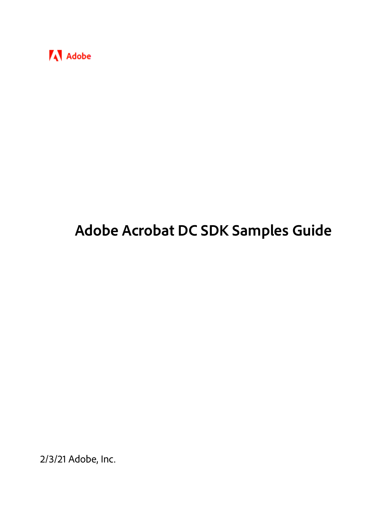

# **Adobe Acrobat DC SDK Samples Guide**

2/3/21 Adobe, Inc.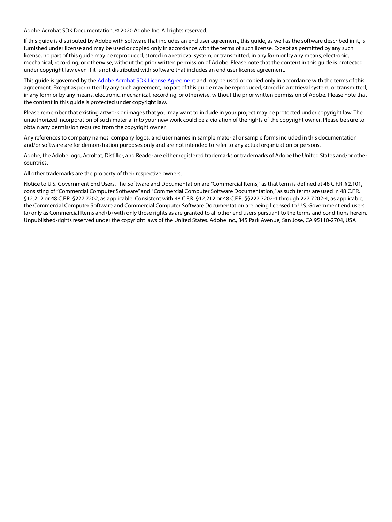Adobe Acrobat SDK Documentation. © 2020 Adobe Inc. All rights reserved.

If this guide is distributed by Adobe with software that includes an end user agreement, this guide, as well as the software described in it, is furnished under license and may be used or copied only in accordance with the terms of such license. Except as permitted by any such license, no part of this guide may be reproduced, stored in a retrieval system, or transmitted, in any form or by any means, electronic, mechanical, recording, or otherwise, without the prior written permission of Adobe. Please note that the content in this guide is protected under copyright law even if it is not distributed with software that includes an end user license agreement.

This quide is governed by the [Adobe Acrobat SDK License Agreement](https://www.adobe.com/devnet/acrobat/sdk/eula.html) and may be used or copied only in accordance with the terms of this agreement. Except as permitted by any such agreement, no part of this guide may be reproduced, stored in a retrieval system, or transmitted, in any form or by any means, electronic, mechanical, recording, or otherwise, without the prior written permission of Adobe. Please note that the content in this guide is protected under copyright law.

Please remember that existing artwork or images that you may want to include in your project may be protected under copyright law. The unauthorized incorporation of such material into your new work could be a violation of the rights of the copyright owner. Please be sure to obtain any permission required from the copyright owner.

Any references to company names, company logos, and user names in sample material or sample forms included in this documentation and/or software are for demonstration purposes only and are not intended to refer to any actual organization or persons.

Adobe, the Adobe logo, Acrobat, Distiller, and Reader are either registered trademarks or trademarks of Adobe the United States and/or other countries.

All other trademarks are the property of their respective owners.

Notice to U.S. Government End Users. The Software and Documentation are "Commercial Items," as that term is defined at 48 C.F.R. §2.101, consisting of "Commercial Computer Software" and "Commercial Computer Software Documentation," as such terms are used in 48 C.F.R. §12.212 or 48 C.F.R. §227.7202, as applicable. Consistent with 48 C.F.R. §12.212 or 48 C.F.R. §§227.7202-1 through 227.7202-4, as applicable, the Commercial Computer Software and Commercial Computer Software Documentation are being licensed to U.S. Government end users (a) only as Commercial Items and (b) with only those rights as are granted to all other end users pursuant to the terms and conditions herein. Unpublished-rights reserved under the copyright laws of the United States. Adobe Inc., 345 Park Avenue, San Jose, CA 95110-2704, USA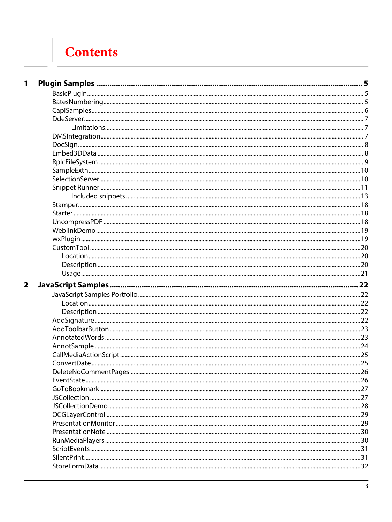# **Contents**

| 1                       |                       |     |
|-------------------------|-----------------------|-----|
|                         |                       |     |
|                         |                       |     |
|                         |                       |     |
|                         |                       |     |
|                         |                       |     |
|                         |                       |     |
|                         |                       |     |
|                         |                       |     |
|                         |                       |     |
|                         |                       |     |
|                         |                       |     |
|                         |                       |     |
|                         |                       |     |
|                         |                       |     |
|                         |                       |     |
|                         |                       |     |
|                         |                       |     |
|                         |                       |     |
|                         |                       |     |
|                         |                       |     |
|                         |                       |     |
|                         |                       |     |
|                         |                       |     |
|                         |                       |     |
| $\overline{\mathbf{2}}$ |                       |     |
|                         |                       |     |
|                         |                       |     |
|                         |                       |     |
|                         |                       |     |
|                         |                       |     |
|                         |                       |     |
|                         |                       |     |
|                         |                       |     |
|                         |                       | .26 |
|                         | DeleteNoCommentPages. |     |
|                         |                       |     |
|                         |                       |     |
|                         |                       |     |
|                         |                       |     |
|                         |                       |     |
|                         |                       |     |
|                         |                       |     |
|                         |                       |     |
|                         |                       |     |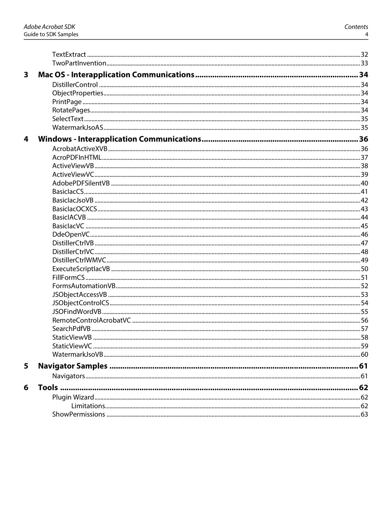| $\overline{\mathbf{3}}$ |  |
|-------------------------|--|
|                         |  |
|                         |  |
|                         |  |
|                         |  |
|                         |  |
|                         |  |
| 4                       |  |
|                         |  |
|                         |  |
|                         |  |
|                         |  |
|                         |  |
|                         |  |
|                         |  |
|                         |  |
|                         |  |
|                         |  |
|                         |  |
|                         |  |
|                         |  |
|                         |  |
|                         |  |
|                         |  |
|                         |  |
|                         |  |
|                         |  |
|                         |  |
|                         |  |
|                         |  |
|                         |  |
|                         |  |
| 5                       |  |
|                         |  |
| 6                       |  |
|                         |  |
|                         |  |
|                         |  |
|                         |  |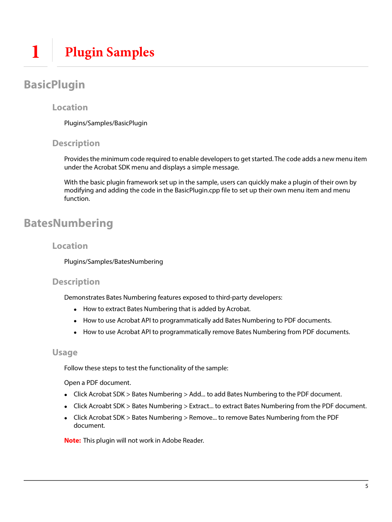## <span id="page-4-1"></span><span id="page-4-0"></span>**BasicPlugin**

### **Location**

Plugins/Samples/BasicPlugin

### **Description**

Provides the minimum code required to enable developers to get started. The code adds a new menu item under the Acrobat SDK menu and displays a simple message.

With the basic plugin framework set up in the sample, users can quickly make a plugin of their own by modifying and adding the code in the BasicPlugin.cpp file to set up their own menu item and menu function.

## <span id="page-4-2"></span>**BatesNumbering**

### **Location**

Plugins/Samples/BatesNumbering

### **Description**

Demonstrates Bates Numbering features exposed to third-party developers:

- How to extract Bates Numbering that is added by Acrobat.
- How to use Acrobat API to programmatically add Bates Numbering to PDF documents.
- How to use Acrobat API to programmatically remove Bates Numbering from PDF documents.

### **Usage**

Follow these steps to test the functionality of the sample:

Open a PDF document.

- Click Acrobat SDK > Bates Numbering > Add... to add Bates Numbering to the PDF document.
- Click Acroabt SDK > Bates Numbering > Extract... to extract Bates Numbering from the PDF document.
- Click Acrobat SDK > Bates Numbering > Remove... to remove Bates Numbering from the PDF document.

**Note:** This plugin will not work in Adobe Reader.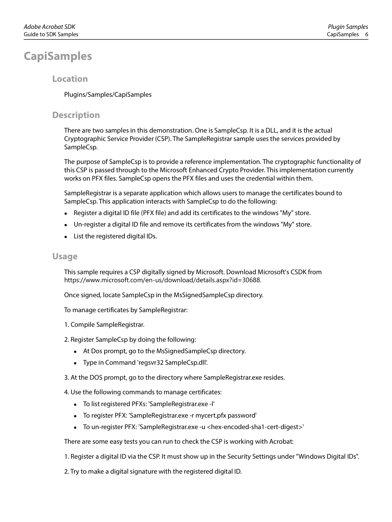## <span id="page-5-0"></span>**CapiSamples**

### **Location**

Plugins/Samples/CapiSamples

### **Description**

There are two samples in this demonstration. One is SampleCsp. It is a DLL, and it is the actual Cryptographic Service Provider (CSP). The SampleRegistrar sample uses the services provided by SampleCsp.

The purpose of SampleCsp is to provide a reference implementation. The cryptographic functionality of this CSP is passed through to the Microsoft Enhanced Crypto Provider. This implementation currently works on PFX files. SampleCsp opens the PFX files and uses the credential within them.

SampleRegistrar is a separate application which allows users to manage the certificates bound to SampleCsp. This application interacts with SampleCsp to do the following:

- Register a digital ID file (PFX file) and add its certificates to the windows "My" store.
- Un-register a digital ID file and remove its certificates from the windows "My" store.
- List the registered digital IDs.

### **Usage**

This sample requires a CSP digitally signed by Microsoft. Download Microsoft's CSDK from https://www.microsoft.com/en-us/download/details.aspx?id=30688.

Once signed, locate SampleCsp in the MsSignedSampleCsp directory.

To manage certificates by SampleRegistrar:

- 1. Compile SampleRegistrar.
- 2. Register SampleCsp by doing the following:
	- At Dos prompt, go to the MsSignedSampleCsp directory.
	- Type in Command 'regsvr32 SampleCsp.dll'.
- 3. At the DOS prompt, go to the directory where SampleRegistrar.exe resides.

4. Use the following commands to manage certificates:

- To list registered PFXs: 'SampleRegistrar.exe -l'
- To register PFX: 'SampleRegistrar.exe -r mycert.pfx password'
- To un-register PFX: 'SampleRegistrar.exe -u <hex-encoded-sha1-cert-digest>'

There are some easy tests you can run to check the CSP is working with Acrobat:

1. Register a digital ID via the CSP. It must show up in the Security Settings under "Windows Digital IDs".

2. Try to make a digital signature with the registered digital ID.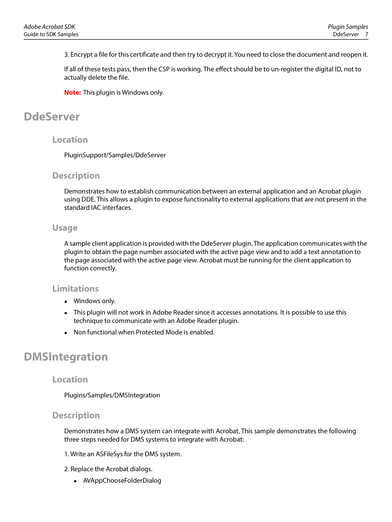3. Encrypt a file for this certificate and then try to decrypt it. You need to close the document and reopen it.

If all of these tests pass, then the CSP is working. The effect should be to un-register the digital ID, not to actually delete the file.

**Note:** This plugin is Windows only.

## <span id="page-6-0"></span>**DdeServer**

### **Location**

PluginSupport/Samples/DdeServer

### **Description**

Demonstrates how to establish communication between an external application and an Acrobat plugin using DDE. This allows a plugin to expose functionality to external applications that are not present in the standard IAC interfaces.

### **Usage**

A sample client application is provided with the DdeServer plugin. The application communicates with the plugin to obtain the page number associated with the active page view and to add a text annotation to the page associated with the active page view. Acrobat must be running for the client application to function correctly.

### <span id="page-6-1"></span>**Limitations**

- Windows only.
- This plugin will not work in Adobe Reader since it accesses annotations. It is possible to use this technique to communicate with an Adobe Reader plugin.
- Non functional when Protected Mode is enabled.

### <span id="page-6-2"></span>**DMSIntegration**

### **Location**

Plugins/Samples/DMSIntegration

### **Description**

Demonstrates how a DMS system can integrate with Acrobat. This sample demonstrates the following three steps needed for DMS systems to integrate with Acrobat:

- 1. Write an ASFileSys for the DMS system.
- 2. Replace the Acrobat dialogs.
	- AVAppChooseFolderDialog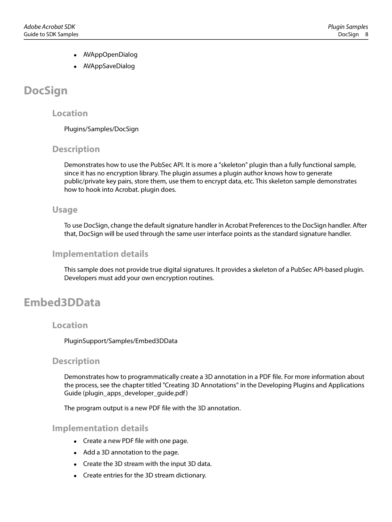- AVAppOpenDialog
- AVAppSaveDialog

## <span id="page-7-0"></span>**DocSign**

### **Location**

Plugins/Samples/DocSign

### **Description**

Demonstrates how to use the PubSec API. It is more a "skeleton" plugin than a fully functional sample, since it has no encryption library. The plugin assumes a plugin author knows how to generate public/private key pairs, store them, use them to encrypt data, etc. This skeleton sample demonstrates how to hook into Acrobat. plugin does.

### **Usage**

To use DocSign, change the default signature handler in Acrobat Preferences to the DocSign handler. After that, DocSign will be used through the same user interface points as the standard signature handler.

### **Implementation details**

This sample does not provide true digital signatures. It provides a skeleton of a PubSec API-based plugin. Developers must add your own encryption routines.

## <span id="page-7-1"></span>**Embed3DData**

### **Location**

PluginSupport/Samples/Embed3DData

### **Description**

Demonstrates how to programmatically create a 3D annotation in a PDF file. For more information about the process, see the chapter titled "Creating 3D Annotations" in the Developing Plugins and Applications Guide (plugin\_apps\_developer\_guide.pdf )

The program output is a new PDF file with the 3D annotation.

### **Implementation details**

- Create a new PDF file with one page.
- Add a 3D annotation to the page.
- Create the 3D stream with the input 3D data.
- Create entries for the 3D stream dictionary.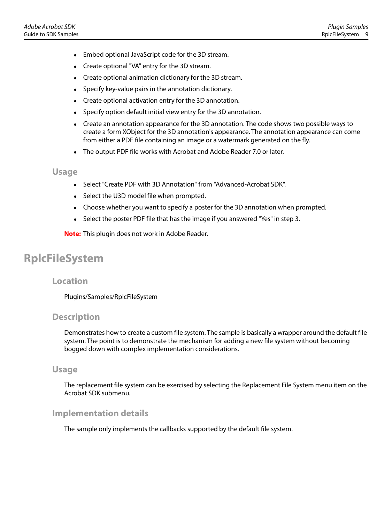- Embed optional JavaScript code for the 3D stream.
- Create optional "VA" entry for the 3D stream.
- Create optional animation dictionary for the 3D stream.
- Specify key-value pairs in the annotation dictionary.
- Create optional activation entry for the 3D annotation.
- Specify option default initial view entry for the 3D annotation.
- Create an annotation appearance for the 3D annotation. The code shows two possible ways to create a form XObject for the 3D annotation's appearance. The annotation appearance can come from either a PDF file containing an image or a watermark generated on the fly.
- The output PDF file works with Acrobat and Adobe Reader 7.0 or later.

- Select "Create PDF with 3D Annotation" from "Advanced-Acrobat SDK".
- Select the U3D model file when prompted.
- Choose whether you want to specify a poster for the 3D annotation when prompted.
- Select the poster PDF file that has the image if you answered "Yes" in step 3.

**Note:** This plugin does not work in Adobe Reader.

## <span id="page-8-0"></span>**RplcFileSystem**

#### **Location**

Plugins/Samples/RplcFileSystem

### **Description**

Demonstrates how to create a custom file system. The sample is basically a wrapper around the default file system. The point is to demonstrate the mechanism for adding a new file system without becoming bogged down with complex implementation considerations.

#### **Usage**

The replacement file system can be exercised by selecting the Replacement File System menu item on the Acrobat SDK submenu.

### **Implementation details**

The sample only implements the callbacks supported by the default file system.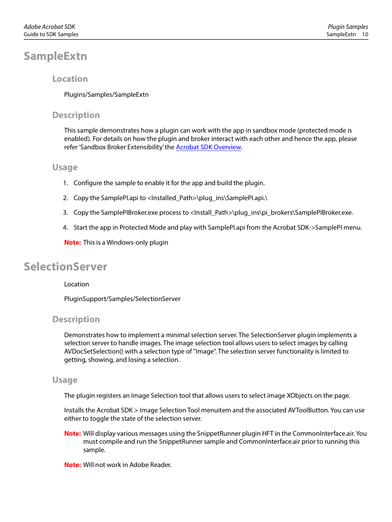## <span id="page-9-0"></span>**SampleExtn**

### **Location**

Plugins/Samples/SampleExtn

### **Description**

This sample demonstrates how a plugin can work with the app in sandbox mode (protected mode is enabled). For details on how the plugin and broker interact with each other and hence the app, please refer 'Sandbox Broker Extensibility' the [Acrobat SDK Overview](https://www.adobe.com/go/acrobatsdk_overview).

### **Usage**

- 1. Configure the sample to enable it for the app and build the plugin.
- 2. Copy the SamplePI.api to <Installed\_Path>\plug\_ins\SamplePI.api.\
- 3. Copy the SamplePIBroker.exe process to <Install\_Path>\plug\_ins\pi\_brokers\SamplePIBroker.exe.
- 4. Start the app in Protected Mode and play with SamplePI.api from the Acrobat SDK->SamplePI menu.

**Note:** This is a Windows-only plugin

### <span id="page-9-1"></span>**SelectionServer**

#### Location

PluginSupport/Samples/SelectionServer

### **Description**

Demonstrates how to implement a minimal selection server. The SelectionServer plugin implements a selection server to handle images. The image selection tool allows users to select images by calling AVDocSetSelection() with a selection type of "Image". The selection server functionality is limited to getting, showing, and losing a selection.

### **Usage**

The plugin registers an Image Selection tool that allows users to select image XObjects on the page.

Installs the Acrobat SDK > Image Selection Tool menuitem and the associated AVToolButton. You can use either to toggle the state of the selection server.

**Note:** Will display various messages using the SnippetRunner plugin HFT in the CommonInterface.air. You must compile and run the SnippetRunner sample and CommonInterface.air prior to running this sample.

**Note:** Will not work in Adobe Reader.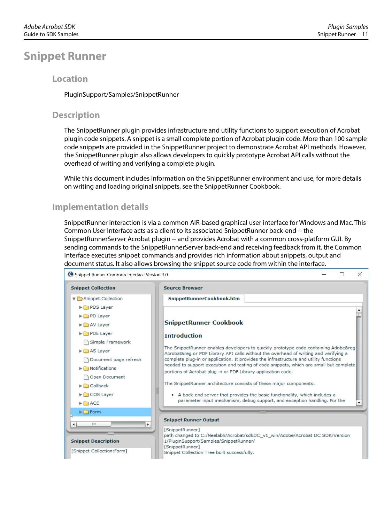### <span id="page-10-0"></span>**Snippet Runner**

### **Location**

PluginSupport/Samples/SnippetRunner

### **Description**

The SnippetRunner plugin provides infrastructure and utility functions to support execution of Acrobat plugin code snippets. A snippet is a small complete portion of Acrobat plugin code. More than 100 sample code snippets are provided in the SnippetRunner project to demonstrate Acrobat API methods. However, the SnippetRunner plugin also allows developers to quickly prototype Acrobat API calls without the overhead of writing and verifying a complete plugin.

While this document includes information on the SnippetRunner environment and use, for more details on writing and loading original snippets, see the SnippetRunner Cookbook.

### **Implementation details**

SnippetRunner interaction is via a common AIR-based graphical user interface for Windows and Mac. This Common User Interface acts as a client to its associated SnippetRunner back-end -- the SnippetRunnerServer Acrobat plugin -- and provides Acrobat with a common cross-platform GUI. By sending commands to the SnippetRunnerServer back-end and receiving feedback from it, the Common Interface executes snippet commands and provides rich information about snippets, output and document status. It also allows browsing the snippet source code from within the interface.

| Snippet Runner Common Interface Version 3.0                                                                                                                                                                                                            | $\times$                                                                                                                                                                                                                                                                                                                                                                                                                                                                                                                                                                                                                                                                                                           |
|--------------------------------------------------------------------------------------------------------------------------------------------------------------------------------------------------------------------------------------------------------|--------------------------------------------------------------------------------------------------------------------------------------------------------------------------------------------------------------------------------------------------------------------------------------------------------------------------------------------------------------------------------------------------------------------------------------------------------------------------------------------------------------------------------------------------------------------------------------------------------------------------------------------------------------------------------------------------------------------|
| <b>Snippet Collection</b>                                                                                                                                                                                                                              | <b>Source Browser</b>                                                                                                                                                                                                                                                                                                                                                                                                                                                                                                                                                                                                                                                                                              |
| Snippet Collection<br>PDS Layer<br>PD Layer                                                                                                                                                                                                            | SnippetRunnerCookbook.htm                                                                                                                                                                                                                                                                                                                                                                                                                                                                                                                                                                                                                                                                                          |
| AV Layer<br>PDE Layer<br>Simple Framework<br>$\blacktriangleright$ AS Layer<br>Document page refresh<br>$\blacktriangleright$ $\square$ Notifications<br><b>1</b> Open Document<br>$\blacktriangleright$ $\Box$ Callback<br>$\triangleright$ COS Layer | <b>SnippetRunner Cookbook</b><br><b>Introduction</b><br>The SnippetRunner enables developers to quickly prototype code containing Adobe®<br>Acrobat® or PDF Library API calls without the overhead of writing and verifying a<br>complete plug-in or application. It provides the infrastructure and utility functions<br>needed to support execution and testing of code snippets, which are small but complete<br>portions of Acrobat plug-in or PDF Library application code.<br>The SnippetRunner architecture consists of these major components:<br>• A back-end server that provides the basic functionality, which includes a<br>parameter input mechanism, debug support, and exception handling. For the |
| $\triangleright$ $\square$ ACE<br>$\blacktriangleright$ $\Box$ Form<br>ни<br>$\blacktriangleleft$<br><b>Snippet Description</b>                                                                                                                        | ۰<br><b>Snippet Runner Output</b><br>[SnippetRunner]<br>path changed to C:/Neelabh/Acrobat/sdkDC_v1_win/Adobe/Acrobat DC SDK/Version<br>1/PluginSupport/Samples/SnippetRunner/<br>[SnippetRunner]                                                                                                                                                                                                                                                                                                                                                                                                                                                                                                                  |
| [Snippet Collection:Form]                                                                                                                                                                                                                              | Snippet Collection Tree built successfully.                                                                                                                                                                                                                                                                                                                                                                                                                                                                                                                                                                                                                                                                        |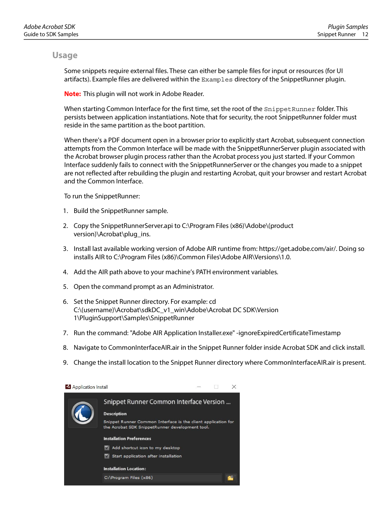Some snippets require external files. These can either be sample files for input or resources (for UI artifacts). Example files are delivered within the Examples directory of the SnippetRunner plugin.

**Note:** This plugin will not work in Adobe Reader.

When starting Common Interface for the first time, set the root of the SnippetRunner folder. This persists between application instantiations. Note that for security, the root SnippetRunner folder must reside in the same partition as the boot partition.

When there's a PDF document open in a browser prior to explicitly start Acrobat, subsequent connection attempts from the Common Interface will be made with the SnippetRunnerServer plugin associated with the Acrobat browser plugin process rather than the Acrobat process you just started. If your Common Interface suddenly fails to connect with the SnippetRunnerServer or the changes you made to a snippet are not reflected after rebuilding the plugin and restarting Acrobat, quit your browser and restart Acrobat and the Common Interface.

To run the SnippetRunner:

- 1. Build the SnippetRunner sample.
- 2. Copy the SnippetRunnerServer.api to C:\Program Files (x86)\Adobe\(product version)\Acrobat\plug\_ins.
- 3. Install last available working version of Adobe AIR runtime from: https://get.adobe.com/air/. Doing so installs AIR to C:\Program Files (x86)\Common Files\Adobe AIR\Versions\1.0.
- 4. Add the AIR path above to your machine's PATH environment variables.
- 5. Open the command prompt as an Administrator.
- 6. Set the Snippet Runner directory. For example: cd C:\(username)\Acrobat\sdkDC\_v1\_win\Adobe\Acrobat DC SDK\Version 1\PluginSupport\Samples\SnippetRunner
- 7. Run the command: "Adobe AIR Application Installer.exe" -ignoreExpiredCertificateTimestamp
- 8. Navigate to CommonInterfaceAIR.air in the Snippet Runner folder inside Acrobat SDK and click install.
- 9. Change the install location to the Snippet Runner directory where CommonInterfaceAIR.air is present.

| Application Install |                                                                                                                  |  |  |
|---------------------|------------------------------------------------------------------------------------------------------------------|--|--|
|                     | Snippet Runner Common Interface Version                                                                          |  |  |
|                     | <b>Description</b>                                                                                               |  |  |
|                     | Snippet Runner Common Interface is the client application for<br>the Acrobat SDK SnippetRunner development tool. |  |  |
|                     | <b>Installation Preferences</b>                                                                                  |  |  |
|                     | Add shortcut icon to my desktop                                                                                  |  |  |
|                     | Start application after installation                                                                             |  |  |
|                     | <b>Installation Location:</b>                                                                                    |  |  |
|                     | C:\Program Files (x86)                                                                                           |  |  |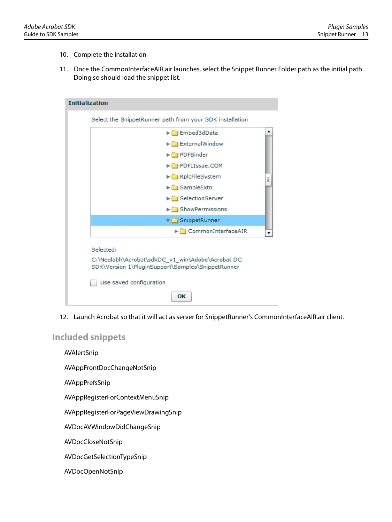- 10. Complete the installation
- 11. Once the CommonInterfaceAIR.air launches, select the Snippet Runner Folder path as the initial path. Doing so should load the snippet list.

| Embed3dData                           |   |
|---------------------------------------|---|
| $\blacktriangleright$ External Window |   |
| PDFBinder                             |   |
| PDFLIssue.COM                         |   |
| RplcFileSystem                        | 亖 |
| $\blacktriangleright$ SampleExtn      |   |
| SelectionServer                       |   |
| $\blacktriangleright$ ShowPermissions |   |
| SnippetRunner                         |   |
| CommonInterfaceAIR                    |   |

12. Launch Acrobat so that it will act as server for SnippetRunner's CommonInterfaceAIR.air client.

<span id="page-12-0"></span>**Included snippets**

AVAlertSnip

AVAppFrontDocChangeNotSnip

AVAppPrefsSnip

AVAppRegisterForContextMenuSnip

AVAppRegisterForPageViewDrawingSnip

AVDocAVWindowDidChangeSnip

AVDocCloseNotSnip

AVDocGetSelectionTypeSnip

AVDocOpenNotSnip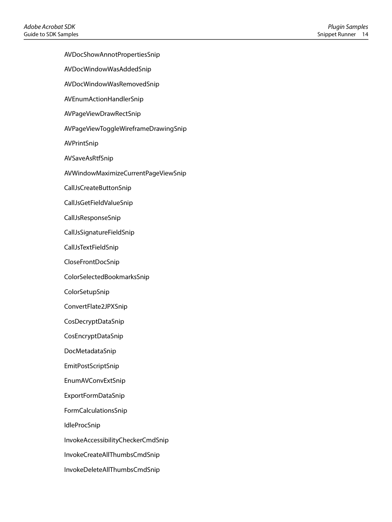AVDocShowAnnotPropertiesSnip

- AVDocWindowWasAddedSnip
- AVDocWindowWasRemovedSnip
- AVEnumActionHandlerSnip
- AVPageViewDrawRectSnip
- AVPageViewToggleWireframeDrawingSnip
- AVPrintSnip
- AVSaveAsRtfSnip
- AVWindowMaximizeCurrentPageViewSnip
- CallJsCreateButtonSnip
- CallJsGetFieldValueSnip
- CallJsResponseSnip
- CallJsSignatureFieldSnip
- CallJsTextFieldSnip
- CloseFrontDocSnip
- ColorSelectedBookmarksSnip
- ColorSetupSnip
- ConvertFlate2JPXSnip
- CosDecryptDataSnip
- CosEncryptDataSnip
- DocMetadataSnip
- EmitPostScriptSnip
- EnumAVConvExtSnip
- ExportFormDataSnip
- FormCalculationsSnip
- IdleProcSnip
- InvokeAccessibilityCheckerCmdSnip
- InvokeCreateAllThumbsCmdSnip
- InvokeDeleteAllThumbsCmdSnip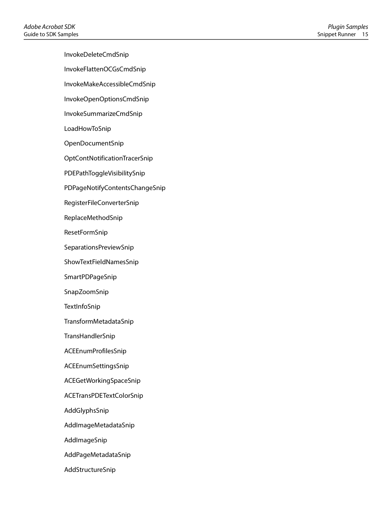InvokeDeleteCmdSnip

InvokeFlattenOCGsCmdSnip

InvokeMakeAccessibleCmdSnip

- InvokeOpenOptionsCmdSnip
- InvokeSummarizeCmdSnip

LoadHowToSnip

OpenDocumentSnip

OptContNotificationTracerSnip

PDEPathToggleVisibilitySnip

PDPageNotifyContentsChangeSnip

RegisterFileConverterSnip

ReplaceMethodSnip

ResetFormSnip

SeparationsPreviewSnip

ShowTextFieldNamesSnip

SmartPDPageSnip

SnapZoomSnip

**TextInfoSnip** 

TransformMetadataSnip

TransHandlerSnip

ACEEnumProfilesSnip

ACEEnumSettingsSnip

ACEGetWorkingSpaceSnip

ACETransPDETextColorSnip

AddGlyphsSnip

AddImageMetadataSnip

AddImageSnip

AddPageMetadataSnip

AddStructureSnip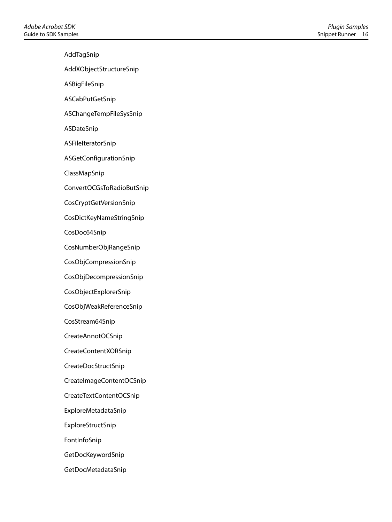AddTagSnip AddXObjectStructureSnip ASBigFileSnip ASCabPutGetSnip ASChangeTempFileSysSnip ASDateSnip ASFileIteratorSnip ASGetConfigurationSnip ClassMapSnip ConvertOCGsToRadioButSnip CosCryptGetVersionSnip CosDictKeyNameStringSnip CosDoc64Snip CosNumberObjRangeSnip CosObjCompressionSnip CosObjDecompressionSnip CosObjectExplorerSnip CosObjWeakReferenceSnip CosStream64Snip CreateAnnotOCSnip CreateContentXORSnip CreateDocStructSnip CreateImageContentOCSnip CreateTextContentOCSnip ExploreMetadataSnip ExploreStructSnip FontInfoSnip GetDocKeywordSnip

GetDocMetadataSnip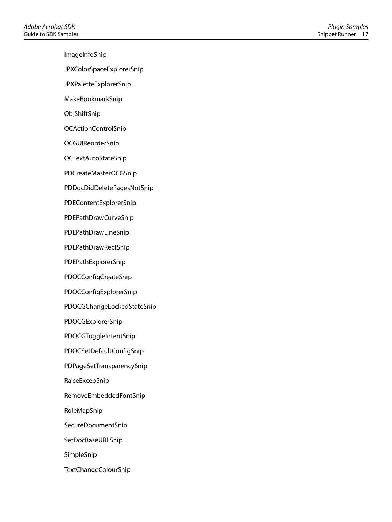ImageInfoSnip

JPXColorSpaceExplorerSnip

JPXPaletteExplorerSnip

MakeBookmarkSnip

ObjShiftSnip

OCActionControlSnip

OCGUIReorderSnip

OCTextAutoStateSnip

PDCreateMasterOCGSnip

PDDocDidDeletePagesNotSnip

PDEContentExplorerSnip

PDEPathDrawCurveSnip

PDEPathDrawLineSnip

PDEPathDrawRectSnip

PDEPathExplorerSnip

PDOCConfigCreateSnip

PDOCConfigExplorerSnip

PDOCGChangeLockedStateSnip

PDOCGExplorerSnip

PDOCGToggleIntentSnip

PDOCSetDefaultConfigSnip

PDPageSetTransparencySnip

RaiseExcepSnip

RemoveEmbeddedFontSnip

RoleMapSnip

SecureDocumentSnip

SetDocBaseURLSnip

SimpleSnip

TextChangeColourSnip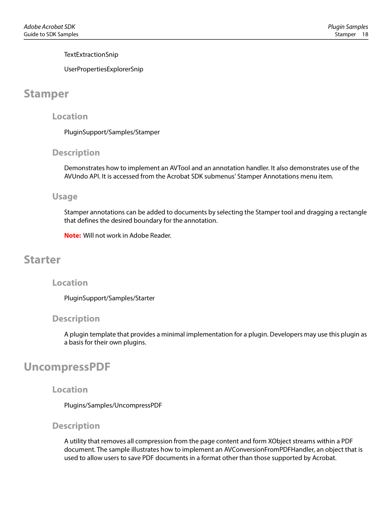**TextExtractionSnip** 

UserPropertiesExplorerSnip

## <span id="page-17-0"></span>**Stamper**

### **Location**

PluginSupport/Samples/Stamper

### **Description**

Demonstrates how to implement an AVTool and an annotation handler. It also demonstrates use of the AVUndo API. It is accessed from the Acrobat SDK submenus' Stamper Annotations menu item.

### **Usage**

Stamper annotations can be added to documents by selecting the Stamper tool and dragging a rectangle that defines the desired boundary for the annotation.

**Note:** Will not work in Adobe Reader.

### <span id="page-17-1"></span>**Starter**

### **Location**

PluginSupport/Samples/Starter

### **Description**

A plugin template that provides a minimal implementation for a plugin. Developers may use this plugin as a basis for their own plugins.

### <span id="page-17-2"></span>**UncompressPDF**

### **Location**

Plugins/Samples/UncompressPDF

### **Description**

A utility that removes all compression from the page content and form XObject streams within a PDF document. The sample illustrates how to implement an AVConversionFromPDFHandler, an object that is used to allow users to save PDF documents in a format other than those supported by Acrobat.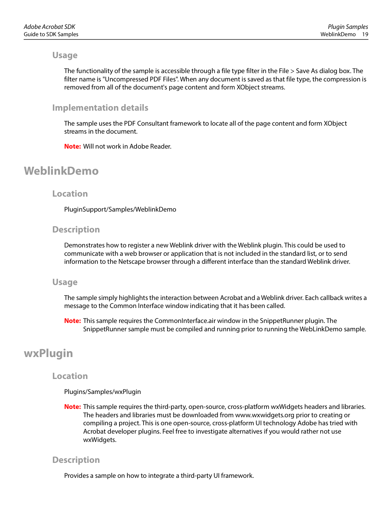The functionality of the sample is accessible through a file type filter in the File > Save As dialog box. The filter name is "Uncompressed PDF Files". When any document is saved as that file type, the compression is removed from all of the document's page content and form XObject streams.

### **Implementation details**

The sample uses the PDF Consultant framework to locate all of the page content and form XObject streams in the document.

**Note:** Will not work in Adobe Reader.

## <span id="page-18-0"></span>**WeblinkDemo**

### **Location**

PluginSupport/Samples/WeblinkDemo

### **Description**

Demonstrates how to register a new Weblink driver with the Weblink plugin. This could be used to communicate with a web browser or application that is not included in the standard list, or to send information to the Netscape browser through a different interface than the standard Weblink driver.

### **Usage**

The sample simply highlights the interaction between Acrobat and a Weblink driver. Each callback writes a message to the Common Interface window indicating that it has been called.

**Note:** This sample requires the CommonInterface.air window in the SnippetRunner plugin. The SnippetRunner sample must be compiled and running prior to running the WebLinkDemo sample.

## <span id="page-18-1"></span>**wxPlugin**

### **Location**

### Plugins/Samples/wxPlugin

**Note:** This sample requires the third-party, open-source, cross-platform wxWidgets headers and libraries. The headers and libraries must be downloaded from www.wxwidgets.org prior to creating or compiling a project. This is one open-source, cross-platform UI technology Adobe has tried with Acrobat developer plugins. Feel free to investigate alternatives if you would rather not use wxWidgets.

### **Description**

Provides a sample on how to integrate a third-party UI framework.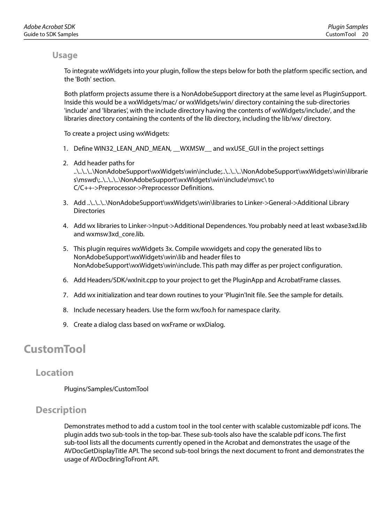To integrate wxWidgets into your plugin, follow the steps below for both the platform specific section, and the 'Both' section.

Both platform projects assume there is a NonAdobeSupport directory at the same level as PluginSupport. Inside this would be a wxWidgets/mac/ or wxWidgets/win/ directory containing the sub-directories 'include' and 'libraries', with the include directory having the contents of wxWidgets/include/, and the libraries directory containing the contents of the lib directory, including the lib/wx/ directory.

To create a project using wxWidgets:

- 1. Define WIN32\_LEAN\_AND\_MEAN, \_\_WXMSW\_\_ and wxUSE\_GUI in the project settings
- 2. Add header paths for ..\..\..\..\NonAdobeSupport\wxWidgets\win\include;..\..\..\..\NonAdobeSupport\wxWidgets\win\librarie s\mswd\;..\..\..\..\NonAdobeSupport\wxWidgets\win\include\msvc\ to C/C++->Preprocessor->Preprocessor Definitions.
- 3. Add ..\..\..\..\NonAdobeSupport\wxWidgets\win\libraries to Linker->General->Additional Library **Directories**
- 4. Add wx libraries to Linker->Input->Additional Dependences. You probably need at least wxbase3xd.lib and wxmsw3xd\_core.lib.
- 5. This plugin requires wxWidgets 3x. Compile wxwidgets and copy the generated libs to NonAdobeSupport\wxWidgets\win\lib and header files to NonAdobeSupport\wxWidgets\win\include. This path may differ as per project configuration.
- 6. Add Headers/SDK/wxInit.cpp to your project to get the PluginApp and AcrobatFrame classes.
- 7. Add wx initialization and tear down routines to your 'Plugin'Init file. See the sample for details.
- 8. Include necessary headers. Use the form wx/foo.h for namespace clarity.
- 9. Create a dialog class based on wxFrame or wxDialog.

### <span id="page-19-0"></span>**CustomTool**

### <span id="page-19-1"></span>**Location**

Plugins/Samples/CustomTool

### <span id="page-19-2"></span>**Description**

Demonstrates method to add a custom tool in the tool center with scalable customizable pdf icons. The plugin adds two sub-tools in the top-bar. These sub-tools also have the scalable pdf icons. The first sub-tool lists all the documents currently opened in the Acrobat and demonstrates the usage of the AVDocGetDisplayTitle API. The second sub-tool brings the next document to front and demonstrates the usage of AVDocBringToFront API.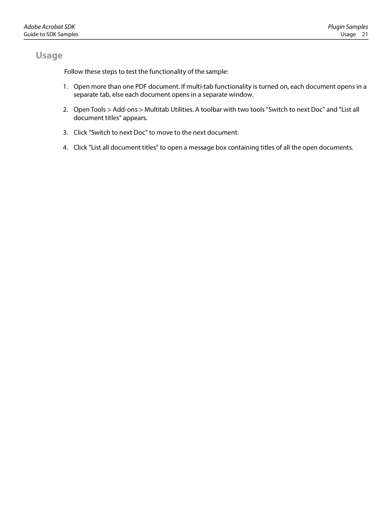<span id="page-20-0"></span>Follow these steps to test the functionality of the sample:

- 1. Open more than one PDF document. If multi-tab functionality is turned on, each document opens in a separate tab, else each document opens in a separate window.
- 2. Open Tools > Add-ons > Multitab Utilities. A toolbar with two tools "Switch to next Doc" and "List all document titles" appears.
- 3. Click "Switch to next Doc" to move to the next document.
- 4. Click "List all document titles" to open a message box containing titles of all the open documents.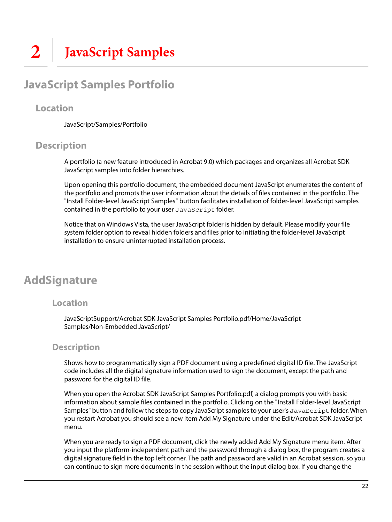## <span id="page-21-1"></span><span id="page-21-0"></span>**JavaScript Samples Portfolio**

### <span id="page-21-2"></span>**Location**

JavaScript/Samples/Portfolio

### <span id="page-21-3"></span>**Description**

A portfolio (a new feature introduced in Acrobat 9.0) which packages and organizes all Acrobat SDK JavaScript samples into folder hierarchies.

Upon opening this portfolio document, the embedded document JavaScript enumerates the content of the portfolio and prompts the user information about the details of files contained in the portfolio. The "Install Folder-level JavaScript Samples" button facilitates installation of folder-level JavaScript samples contained in the portfolio to your user JavaScript folder.

Notice that on Windows Vista, the user JavaScript folder is hidden by default. Please modify your file system folder option to reveal hidden folders and files prior to initiating the folder-level JavaScript installation to ensure uninterrupted installation process.

## <span id="page-21-4"></span>**AddSignature**

### **Location**

JavaScriptSupport/Acrobat SDK JavaScript Samples Portfolio.pdf/Home/JavaScript Samples/Non-Embedded JavaScript/

### **Description**

Shows how to programmatically sign a PDF document using a predefined digital ID file. The JavaScript code includes all the digital signature information used to sign the document, except the path and password for the digital ID file.

When you open the Acrobat SDK JavaScript Samples Portfolio.pdf, a dialog prompts you with basic information about sample files contained in the portfolio. Clicking on the "Install Folder-level JavaScript Samples" button and follow the steps to copy JavaScript samples to your user's JavaScript folder. When you restart Acrobat you should see a new item Add My Signature under the Edit/Acrobat SDK JavaScript menu.

When you are ready to sign a PDF document, click the newly added Add My Signature menu item. After you input the platform-independent path and the password through a dialog box, the program creates a digital signature field in the top left corner. The path and password are valid in an Acrobat session, so you can continue to sign more documents in the session without the input dialog box. If you change the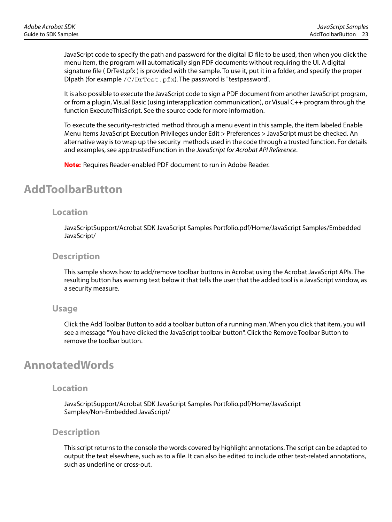JavaScript code to specify the path and password for the digital ID file to be used, then when you click the menu item, the program will automatically sign PDF documents without requiring the UI. A digital signature file ( DrTest.pfx ) is provided with the sample. To use it, put it in a folder, and specify the proper DIpath (for example  $/C/DrTest$ .pfx). The password is "testpassword".

It is also possible to execute the JavaScript code to sign a PDF document from another JavaScript program, or from a plugin, Visual Basic (using interapplication communication), or Visual C++ program through the function ExecuteThisScript. See the source code for more information.

To execute the security-restricted method through a menu event in this sample, the item labeled Enable Menu Items JavaScript Execution Privileges under Edit > Preferences > JavaScript must be checked. An alternative way is to wrap up the security methods used in the code through a trusted function. For details and examples, see app.trustedFunction in the JavaScript for Acrobat API Reference.

**Note:** Requires Reader-enabled PDF document to run in Adobe Reader.

### <span id="page-22-0"></span>**AddToolbarButton**

### **Location**

JavaScriptSupport/Acrobat SDK JavaScript Samples Portfolio.pdf/Home/JavaScript Samples/Embedded JavaScript/

### **Description**

This sample shows how to add/remove toolbar buttons in Acrobat using the Acrobat JavaScript APIs. The resulting button has warning text below it that tells the user that the added tool is a JavaScript window, as a security measure.

### **Usage**

Click the Add Toolbar Button to add a toolbar button of a running man. When you click that item, you will see a message "You have clicked the JavaScript toolbar button". Click the Remove Toolbar Button to remove the toolbar button.

### <span id="page-22-1"></span>**AnnotatedWords**

### **Location**

JavaScriptSupport/Acrobat SDK JavaScript Samples Portfolio.pdf/Home/JavaScript Samples/Non-Embedded JavaScript/

### **Description**

This script returns to the console the words covered by highlight annotations. The script can be adapted to output the text elsewhere, such as to a file. It can also be edited to include other text-related annotations, such as underline or cross-out.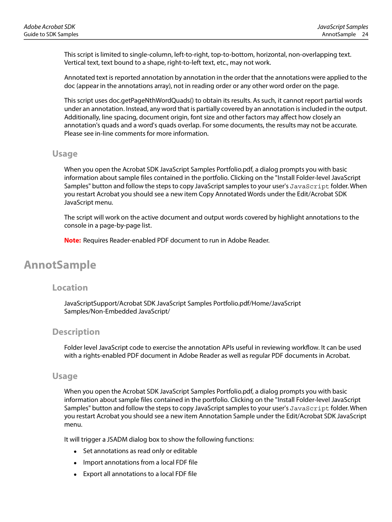This script is limited to single-column, left-to-right, top-to-bottom, horizontal, non-overlapping text. Vertical text, text bound to a shape, right-to-left text, etc., may not work.

Annotated text is reported annotation by annotation in the order that the annotations were applied to the doc (appear in the annotations array), not in reading order or any other word order on the page.

This script uses doc.getPageNthWordQuads() to obtain its results. As such, it cannot report partial words under an annotation. Instead, any word that is partially covered by an annotation is included in the output. Additionally, line spacing, document origin, font size and other factors may affect how closely an annotation's quads and a word's quads overlap. For some documents, the results may not be accurate. Please see in-line comments for more information.

### **Usage**

When you open the Acrobat SDK JavaScript Samples Portfolio.pdf, a dialog prompts you with basic information about sample files contained in the portfolio. Clicking on the "Install Folder-level JavaScript Samples" button and follow the steps to copy JavaScript samples to your user's JavaScript folder. When you restart Acrobat you should see a new item Copy Annotated Words under the Edit/Acrobat SDK JavaScript menu.

The script will work on the active document and output words covered by highlight annotations to the console in a page-by-page list.

**Note:** Requires Reader-enabled PDF document to run in Adobe Reader.

## <span id="page-23-0"></span>**AnnotSample**

### **Location**

JavaScriptSupport/Acrobat SDK JavaScript Samples Portfolio.pdf/Home/JavaScript Samples/Non-Embedded JavaScript/

### **Description**

Folder level JavaScript code to exercise the annotation APIs useful in reviewing workflow. It can be used with a rights-enabled PDF document in Adobe Reader as well as regular PDF documents in Acrobat.

### **Usage**

When you open the Acrobat SDK JavaScript Samples Portfolio.pdf, a dialog prompts you with basic information about sample files contained in the portfolio. Clicking on the "Install Folder-level JavaScript Samples" button and follow the steps to copy JavaScript samples to your user's JavaScript folder. When you restart Acrobat you should see a new item Annotation Sample under the Edit/Acrobat SDK JavaScript menu.

It will trigger a JSADM dialog box to show the following functions:

- Set annotations as read only or editable
- Import annotations from a local FDF file
- Export all annotations to a local FDF file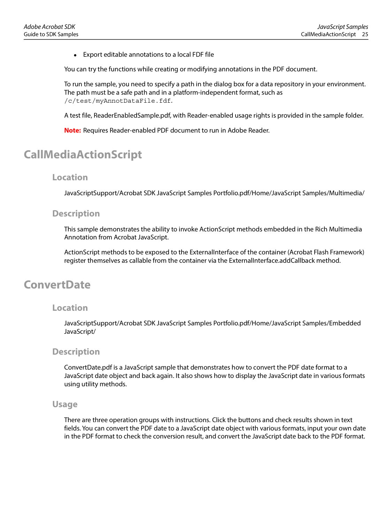Export editable annotations to a local FDF file

You can try the functions while creating or modifying annotations in the PDF document.

To run the sample, you need to specify a path in the dialog box for a data repository in your environment. The path must be a safe path and in a platform-independent format, such as /c/test/myAnnotDataFile.fdf.

A test file, ReaderEnabledSample.pdf, with Reader-enabled usage rights is provided in the sample folder.

**Note:** Requires Reader-enabled PDF document to run in Adobe Reader.

## <span id="page-24-0"></span>**CallMediaActionScript**

### **Location**

JavaScriptSupport/Acrobat SDK JavaScript Samples Portfolio.pdf/Home/JavaScript Samples/Multimedia/

### **Description**

This sample demonstrates the ability to invoke ActionScript methods embedded in the Rich Multimedia Annotation from Acrobat JavaScript.

ActionScript methods to be exposed to the ExternalInterface of the container (Acrobat Flash Framework) register themselves as callable from the container via the ExternalInterface.addCallback method.

### <span id="page-24-1"></span>**ConvertDate**

### **Location**

JavaScriptSupport/Acrobat SDK JavaScript Samples Portfolio.pdf/Home/JavaScript Samples/Embedded JavaScript/

### **Description**

ConvertDate.pdf is a JavaScript sample that demonstrates how to convert the PDF date format to a JavaScript date object and back again. It also shows how to display the JavaScript date in various formats using utility methods.

#### **Usage**

There are three operation groups with instructions. Click the buttons and check results shown in text fields. You can convert the PDF date to a JavaScript date object with various formats, input your own date in the PDF format to check the conversion result, and convert the JavaScript date back to the PDF format.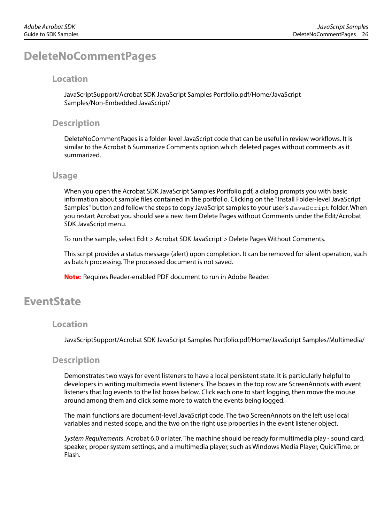## <span id="page-25-0"></span>**DeleteNoCommentPages**

### **Location**

JavaScriptSupport/Acrobat SDK JavaScript Samples Portfolio.pdf/Home/JavaScript Samples/Non-Embedded JavaScript/

### **Description**

DeleteNoCommentPages is a folder-level JavaScript code that can be useful in review workflows. It is similar to the Acrobat 6 Summarize Comments option which deleted pages without comments as it summarized.

### **Usage**

When you open the Acrobat SDK JavaScript Samples Portfolio.pdf, a dialog prompts you with basic information about sample files contained in the portfolio. Clicking on the "Install Folder-level JavaScript Samples" button and follow the steps to copy JavaScript samples to your user's JavaScript folder. When you restart Acrobat you should see a new item Delete Pages without Comments under the Edit/Acrobat SDK JavaScript menu.

To run the sample, select Edit > Acrobat SDK JavaScript > Delete Pages Without Comments.

This script provides a status message (alert) upon completion. It can be removed for silent operation, such as batch processing. The processed document is not saved.

**Note:** Requires Reader-enabled PDF document to run in Adobe Reader.

## <span id="page-25-1"></span>**EventState**

### **Location**

JavaScriptSupport/Acrobat SDK JavaScript Samples Portfolio.pdf/Home/JavaScript Samples/Multimedia/

### **Description**

Demonstrates two ways for event listeners to have a local persistent state. It is particularly helpful to developers in writing multimedia event listeners. The boxes in the top row are ScreenAnnots with event listeners that log events to the list boxes below. Click each one to start logging, then move the mouse around among them and click some more to watch the events being logged.

The main functions are document-level JavaScript code. The two ScreenAnnots on the left use local variables and nested scope, and the two on the right use properties in the event listener object.

System Requirements. Acrobat 6.0 or later. The machine should be ready for multimedia play - sound card, speaker, proper system settings, and a multimedia player, such as Windows Media Player, QuickTime, or Flash.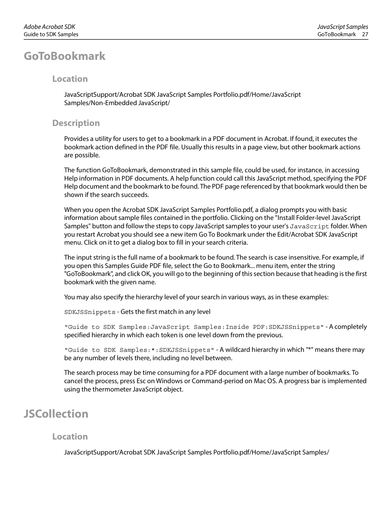### <span id="page-26-0"></span>**Location**

JavaScriptSupport/Acrobat SDK JavaScript Samples Portfolio.pdf/Home/JavaScript Samples/Non-Embedded JavaScript/

### **Description**

Provides a utility for users to get to a bookmark in a PDF document in Acrobat. If found, it executes the bookmark action defined in the PDF file. Usually this results in a page view, but other bookmark actions are possible.

The function GoToBookmark, demonstrated in this sample file, could be used, for instance, in accessing Help information in PDF documents. A help function could call this JavaScript method, specifying the PDF Help document and the bookmark to be found. The PDF page referenced by that bookmark would then be shown if the search succeeds.

When you open the Acrobat SDK JavaScript Samples Portfolio.pdf, a dialog prompts you with basic information about sample files contained in the portfolio. Clicking on the "Install Folder-level JavaScript Samples" button and follow the steps to copy JavaScript samples to your user's JavaScript folder. When you restart Acrobat you should see a new item Go To Bookmark under the Edit/Acrobat SDK JavaScript menu. Click on it to get a dialog box to fill in your search criteria.

The input string is the full name of a bookmark to be found. The search is case insensitive. For example, if you open this Samples Guide PDF file, select the Go to Bookmark... menu item, enter the string "GoToBookmark", and click OK, you will go to the beginning of this section because that heading is the first bookmark with the given name.

You may also specify the hierarchy level of your search in various ways, as in these examples:

SDKJSSnippets - Gets the first match in any level

"Guide to SDK Samples:JavaScript Samples:Inside PDF:SDKJSSnippets" - A completely specified hierarchy in which each token is one level down from the previous.

"Guide to SDK Samples:\*:SDKJSSnippets" - A wildcard hierarchy in which "\*" means there may be any number of levels there, including no level between.

The search process may be time consuming for a PDF document with a large number of bookmarks. To cancel the process, press Esc on Windows or Command-period on Mac OS. A progress bar is implemented using the thermometer JavaScript object.

### <span id="page-26-1"></span>**JSCollection**

### **Location**

JavaScriptSupport/Acrobat SDK JavaScript Samples Portfolio.pdf/Home/JavaScript Samples/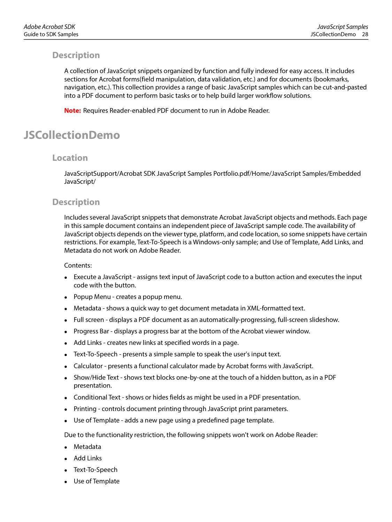### **Description**

A collection of JavaScript snippets organized by function and fully indexed for easy access. It includes sections for Acrobat forms(field manipulation, data validation, etc.) and for documents (bookmarks, navigation, etc.). This collection provides a range of basic JavaScript samples which can be cut-and-pasted into a PDF document to perform basic tasks or to help build larger workflow solutions.

**Note:** Requires Reader-enabled PDF document to run in Adobe Reader.

## <span id="page-27-0"></span>**JSCollectionDemo**

### **Location**

JavaScriptSupport/Acrobat SDK JavaScript Samples Portfolio.pdf/Home/JavaScript Samples/Embedded JavaScript/

### **Description**

Includes several JavaScript snippets that demonstrate Acrobat JavaScript objects and methods. Each page in this sample document contains an independent piece of JavaScript sample code. The availability of JavaScript objects depends on the viewer type, platform, and code location, so some snippets have certain restrictions. For example, Text-To-Speech is a Windows-only sample; and Use of Template, Add Links, and Metadata do not work on Adobe Reader.

#### Contents:

- Execute a JavaScript assigns text input of JavaScript code to a button action and executes the input code with the button.
- Popup Menu creates a popup menu.
- Metadata shows a quick way to get document metadata in XML-formatted text.
- Full screen displays a PDF document as an automatically-progressing, full-screen slideshow.
- Progress Bar displays a progress bar at the bottom of the Acrobat viewer window.
- Add Links creates new links at specified words in a page.
- Text-To-Speech presents a simple sample to speak the user's input text.
- Calculator presents a functional calculator made by Acrobat forms with JavaScript.
- Show/Hide Text shows text blocks one-by-one at the touch of a hidden button, as in a PDF presentation.
- Conditional Text shows or hides fields as might be used in a PDF presentation.
- Printing controls document printing through JavaScript print parameters.
- Use of Template adds a new page using a predefined page template.

Due to the functionality restriction, the following snippets won't work on Adobe Reader:

- Metadata
- Add Links
- Text-To-Speech
- Use of Template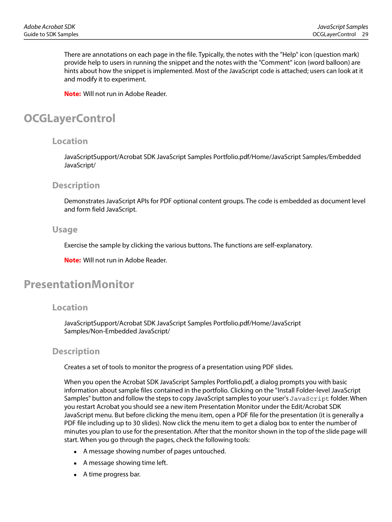There are annotations on each page in the file. Typically, the notes with the "Help" icon (question mark) provide help to users in running the snippet and the notes with the "Comment" icon (word balloon) are hints about how the snippet is implemented. Most of the JavaScript code is attached; users can look at it and modify it to experiment.

**Note:** Will not run in Adobe Reader.

## <span id="page-28-0"></span>**OCGLayerControl**

### **Location**

JavaScriptSupport/Acrobat SDK JavaScript Samples Portfolio.pdf/Home/JavaScript Samples/Embedded JavaScript/

### **Description**

Demonstrates JavaScript APIs for PDF optional content groups. The code is embedded as document level and form field JavaScript.

### **Usage**

Exercise the sample by clicking the various buttons. The functions are self-explanatory.

**Note:** Will not run in Adobe Reader.

## <span id="page-28-1"></span>**PresentationMonitor**

### **Location**

JavaScriptSupport/Acrobat SDK JavaScript Samples Portfolio.pdf/Home/JavaScript Samples/Non-Embedded JavaScript/

### **Description**

Creates a set of tools to monitor the progress of a presentation using PDF slides.

When you open the Acrobat SDK JavaScript Samples Portfolio.pdf, a dialog prompts you with basic information about sample files contained in the portfolio. Clicking on the "Install Folder-level JavaScript Samples" button and follow the steps to copy JavaScript samples to your user's JavaScript folder. When you restart Acrobat you should see a new item Presentation Monitor under the Edit/Acrobat SDK JavaScript menu. But before clicking the menu item, open a PDF file for the presentation (it is generally a PDF file including up to 30 slides). Now click the menu item to get a dialog box to enter the number of minutes you plan to use for the presentation. After that the monitor shown in the top of the slide page will start. When you go through the pages, check the following tools:

- A message showing number of pages untouched.
- A message showing time left.
- A time progress bar.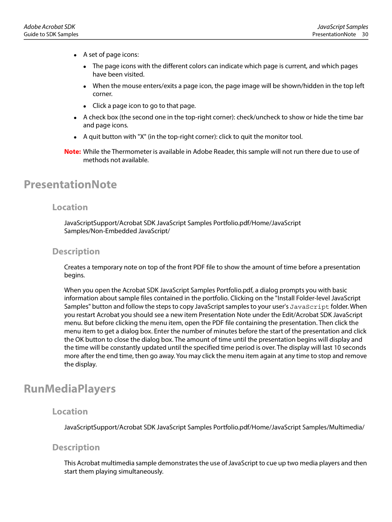- A set of page icons:
	- The page icons with the different colors can indicate which page is current, and which pages have been visited.
	- When the mouse enters/exits a page icon, the page image will be shown/hidden in the top left corner.
	- Click a page icon to go to that page.
- A check box (the second one in the top-right corner): check/uncheck to show or hide the time bar and page icons.
- A quit button with "X" (in the top-right corner): click to quit the monitor tool.
- **Note:** While the Thermometer is available in Adobe Reader, this sample will not run there due to use of methods not available.

### <span id="page-29-0"></span>**PresentationNote**

### **Location**

JavaScriptSupport/Acrobat SDK JavaScript Samples Portfolio.pdf/Home/JavaScript Samples/Non-Embedded JavaScript/

### **Description**

Creates a temporary note on top of the front PDF file to show the amount of time before a presentation begins.

When you open the Acrobat SDK JavaScript Samples Portfolio.pdf, a dialog prompts you with basic information about sample files contained in the portfolio. Clicking on the "Install Folder-level JavaScript Samples" button and follow the steps to copy JavaScript samples to your user's JavaScript folder. When you restart Acrobat you should see a new item Presentation Note under the Edit/Acrobat SDK JavaScript menu. But before clicking the menu item, open the PDF file containing the presentation. Then click the menu item to get a dialog box. Enter the number of minutes before the start of the presentation and click the OK button to close the dialog box. The amount of time until the presentation begins will display and the time will be constantly updated until the specified time period is over. The display will last 10 seconds more after the end time, then go away. You may click the menu item again at any time to stop and remove the display.

### <span id="page-29-1"></span>**RunMediaPlayers**

### **Location**

JavaScriptSupport/Acrobat SDK JavaScript Samples Portfolio.pdf/Home/JavaScript Samples/Multimedia/

### **Description**

This Acrobat multimedia sample demonstrates the use of JavaScript to cue up two media players and then start them playing simultaneously.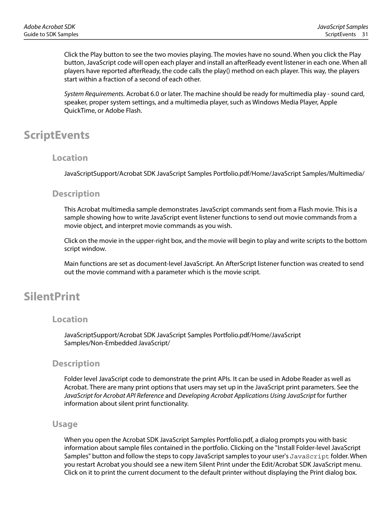Click the Play button to see the two movies playing. The movies have no sound. When you click the Play button, JavaScript code will open each player and install an afterReady event listener in each one. When all players have reported afterReady, the code calls the play() method on each player. This way, the players start within a fraction of a second of each other.

System Requirements. Acrobat 6.0 or later. The machine should be ready for multimedia play - sound card, speaker, proper system settings, and a multimedia player, such as Windows Media Player, Apple QuickTime, or Adobe Flash.

### <span id="page-30-0"></span>**ScriptEvents**

### **Location**

JavaScriptSupport/Acrobat SDK JavaScript Samples Portfolio.pdf/Home/JavaScript Samples/Multimedia/

### **Description**

This Acrobat multimedia sample demonstrates JavaScript commands sent from a Flash movie. This is a sample showing how to write JavaScript event listener functions to send out movie commands from a movie object, and interpret movie commands as you wish.

Click on the movie in the upper-right box, and the movie will begin to play and write scripts to the bottom script window.

Main functions are set as document-level JavaScript. An AfterScript listener function was created to send out the movie command with a parameter which is the movie script.

## <span id="page-30-1"></span>**SilentPrint**

### **Location**

JavaScriptSupport/Acrobat SDK JavaScript Samples Portfolio.pdf/Home/JavaScript Samples/Non-Embedded JavaScript/

### **Description**

Folder level JavaScript code to demonstrate the print APIs. It can be used in Adobe Reader as well as Acrobat. There are many print options that users may set up in the JavaScript print parameters. See the JavaScript for Acrobat API Reference and Developing Acrobat Applications Using JavaScript for further information about silent print functionality.

### **Usage**

When you open the Acrobat SDK JavaScript Samples Portfolio.pdf, a dialog prompts you with basic information about sample files contained in the portfolio. Clicking on the "Install Folder-level JavaScript Samples" button and follow the steps to copy JavaScript samples to your user's JavaScript folder. When you restart Acrobat you should see a new item Silent Print under the Edit/Acrobat SDK JavaScript menu. Click on it to print the current document to the default printer without displaying the Print dialog box.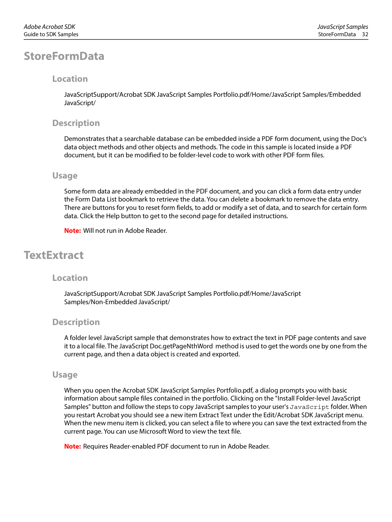### <span id="page-31-0"></span>**Location**

JavaScriptSupport/Acrobat SDK JavaScript Samples Portfolio.pdf/Home/JavaScript Samples/Embedded JavaScript/

### **Description**

Demonstrates that a searchable database can be embedded inside a PDF form document, using the Doc's data object methods and other objects and methods. The code in this sample is located inside a PDF document, but it can be modified to be folder-level code to work with other PDF form files.

### **Usage**

Some form data are already embedded in the PDF document, and you can click a form data entry under the Form Data List bookmark to retrieve the data. You can delete a bookmark to remove the data entry. There are buttons for you to reset form fields, to add or modify a set of data, and to search for certain form data. Click the Help button to get to the second page for detailed instructions.

**Note:** Will not run in Adobe Reader.

## <span id="page-31-1"></span>**TextExtract**

### **Location**

JavaScriptSupport/Acrobat SDK JavaScript Samples Portfolio.pdf/Home/JavaScript Samples/Non-Embedded JavaScript/

### **Description**

A folder level JavaScript sample that demonstrates how to extract the text in PDF page contents and save it to a local file. The JavaScript Doc.getPageNthWord method is used to get the words one by one from the current page, and then a data object is created and exported.

### **Usage**

When you open the Acrobat SDK JavaScript Samples Portfolio.pdf, a dialog prompts you with basic information about sample files contained in the portfolio. Clicking on the "Install Folder-level JavaScript Samples" button and follow the steps to copy JavaScript samples to your user's JavaScript folder. When you restart Acrobat you should see a new item Extract Text under the Edit/Acrobat SDK JavaScript menu. When the new menu item is clicked, you can select a file to where you can save the text extracted from the current page. You can use Microsoft Word to view the text file.

**Note:** Requires Reader-enabled PDF document to run in Adobe Reader.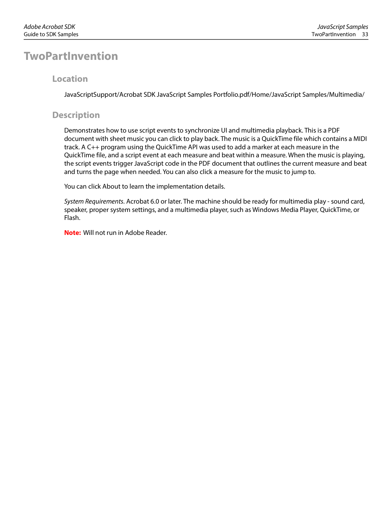### <span id="page-32-0"></span>**TwoPartInvention**

### **Location**

JavaScriptSupport/Acrobat SDK JavaScript Samples Portfolio.pdf/Home/JavaScript Samples/Multimedia/

### **Description**

Demonstrates how to use script events to synchronize UI and multimedia playback. This is a PDF document with sheet music you can click to play back. The music is a QuickTime file which contains a MIDI track. A C++ program using the QuickTime API was used to add a marker at each measure in the QuickTime file, and a script event at each measure and beat within a measure. When the music is playing, the script events trigger JavaScript code in the PDF document that outlines the current measure and beat and turns the page when needed. You can also click a measure for the music to jump to.

You can click About to learn the implementation details.

System Requirements. Acrobat 6.0 or later. The machine should be ready for multimedia play - sound card, speaker, proper system settings, and a multimedia player, such as Windows Media Player, QuickTime, or Flash.

**Note:** Will not run in Adobe Reader.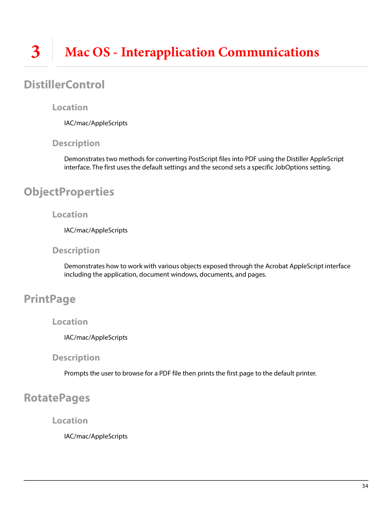## <span id="page-33-1"></span><span id="page-33-0"></span>**DistillerControl**

### **Location**

IAC/mac/AppleScripts

### **Description**

Demonstrates two methods for converting PostScript files into PDF using the Distiller AppleScript interface. The first uses the default settings and the second sets a specific JobOptions setting.

## <span id="page-33-2"></span>**ObjectProperties**

### **Location**

IAC/mac/AppleScripts

### **Description**

Demonstrates how to work with various objects exposed through the Acrobat AppleScript interface including the application, document windows, documents, and pages.

## <span id="page-33-3"></span>**PrintPage**

### **Location**

IAC/mac/AppleScripts

### **Description**

Prompts the user to browse for a PDF file then prints the first page to the default printer.

## <span id="page-33-4"></span>**RotatePages**

**Location**

IAC/mac/AppleScripts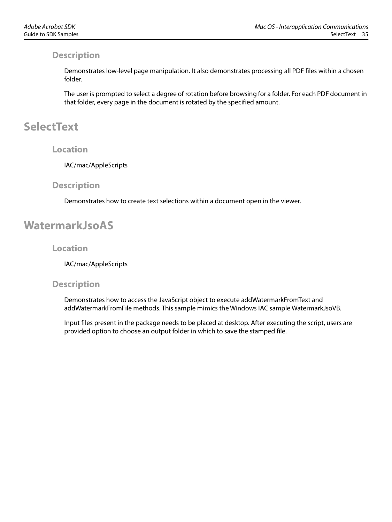### **Description**

Demonstrates low-level page manipulation. It also demonstrates processing all PDF files within a chosen folder.

The user is prompted to select a degree of rotation before browsing for a folder. For each PDF document in that folder, every page in the document is rotated by the specified amount.

## <span id="page-34-0"></span>**SelectText**

### **Location**

IAC/mac/AppleScripts

### **Description**

Demonstrates how to create text selections within a document open in the viewer.

## <span id="page-34-1"></span>**WatermarkJsoAS**

### **Location**

IAC/mac/AppleScripts

### **Description**

Demonstrates how to access the JavaScript object to execute addWatermarkFromText and addWatermarkFromFile methods. This sample mimics the Windows IAC sample WatermarkJsoVB.

Input files present in the package needs to be placed at desktop. After executing the script, users are provided option to choose an output folder in which to save the stamped file.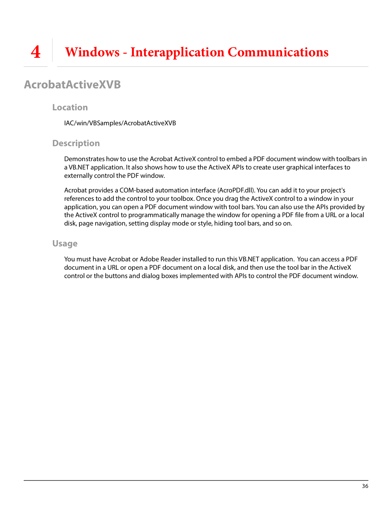## <span id="page-35-1"></span><span id="page-35-0"></span>**AcrobatActiveXVB**

### **Location**

IAC/win/VBSamples/AcrobatActiveXVB

### **Description**

Demonstrates how to use the Acrobat ActiveX control to embed a PDF document window with toolbars in a VB.NET application. It also shows how to use the ActiveX APIs to create user graphical interfaces to externally control the PDF window.

Acrobat provides a COM-based automation interface (AcroPDF.dll). You can add it to your project's references to add the control to your toolbox. Once you drag the ActiveX control to a window in your application, you can open a PDF document window with tool bars. You can also use the APIs provided by the ActiveX control to programmatically manage the window for opening a PDF file from a URL or a local disk, page navigation, setting display mode or style, hiding tool bars, and so on.

### **Usage**

You must have Acrobat or Adobe Reader installed to run this VB.NET application. You can access a PDF document in a URL or open a PDF document on a local disk, and then use the tool bar in the ActiveX control or the buttons and dialog boxes implemented with APIs to control the PDF document window.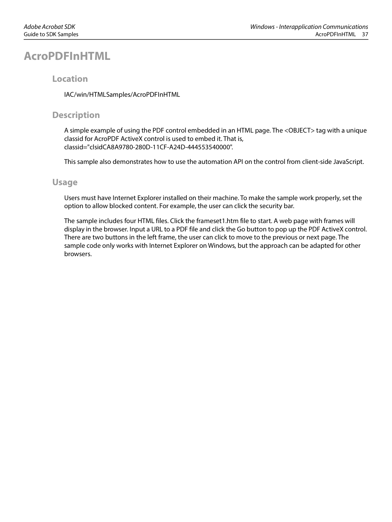## <span id="page-36-0"></span>**AcroPDFInHTML**

### **Location**

IAC/win/HTMLSamples/AcroPDFInHTML

### **Description**

A simple example of using the PDF control embedded in an HTML page. The <OBJECT> tag with a unique classid for AcroPDF ActiveX control is used to embed it. That is, classid="clsidCA8A9780-280D-11CF-A24D-444553540000".

This sample also demonstrates how to use the automation API on the control from client-side JavaScript.

### **Usage**

Users must have Internet Explorer installed on their machine. To make the sample work properly, set the option to allow blocked content. For example, the user can click the security bar.

The sample includes four HTML files. Click the frameset1.htm file to start. A web page with frames will display in the browser. Input a URL to a PDF file and click the Go button to pop up the PDF ActiveX control. There are two buttons in the left frame, the user can click to move to the previous or next page. The sample code only works with Internet Explorer on Windows, but the approach can be adapted for other browsers.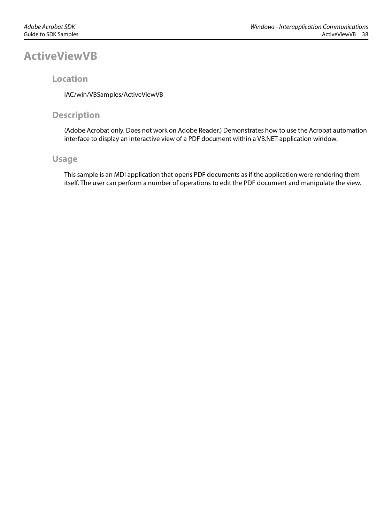### <span id="page-37-0"></span>**ActiveViewVB**

### **Location**

IAC/win/VBSamples/ActiveViewVB

### **Description**

(Adobe Acrobat only. Does not work on Adobe Reader.) Demonstrates how to use the Acrobat automation interface to display an interactive view of a PDF document within a VB.NET application window.

### **Usage**

This sample is an MDI application that opens PDF documents as if the application were rendering them itself. The user can perform a number of operations to edit the PDF document and manipulate the view.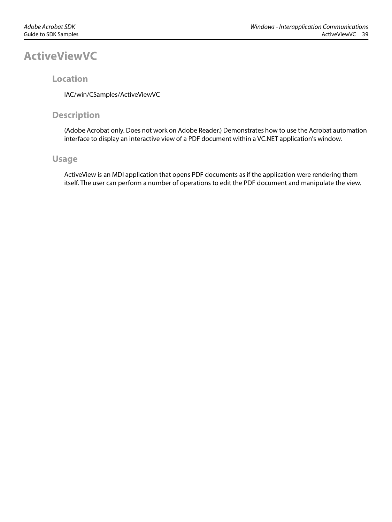## <span id="page-38-0"></span>**ActiveViewVC**

### **Location**

IAC/win/CSamples/ActiveViewVC

### **Description**

(Adobe Acrobat only. Does not work on Adobe Reader.) Demonstrates how to use the Acrobat automation interface to display an interactive view of a PDF document within a VC.NET application's window.

### **Usage**

ActiveView is an MDI application that opens PDF documents as if the application were rendering them itself. The user can perform a number of operations to edit the PDF document and manipulate the view.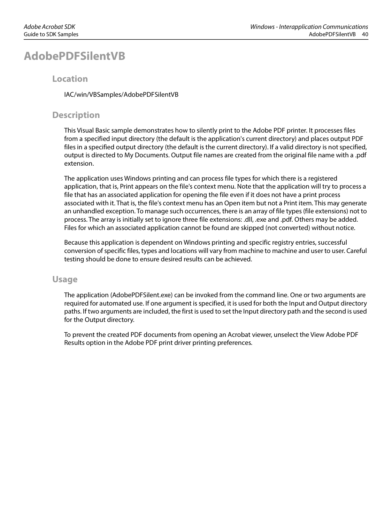## <span id="page-39-0"></span>**AdobePDFSilentVB**

### **Location**

IAC/win/VBSamples/AdobePDFSilentVB

### **Description**

This Visual Basic sample demonstrates how to silently print to the Adobe PDF printer. It processes files from a specified input directory (the default is the application's current directory) and places output PDF files in a specified output directory (the default is the current directory). If a valid directory is not specified, output is directed to My Documents. Output file names are created from the original file name with a .pdf extension.

The application uses Windows printing and can process file types for which there is a registered application, that is, Print appears on the file's context menu. Note that the application will try to process a file that has an associated application for opening the file even if it does not have a print process associated with it. That is, the file's context menu has an Open item but not a Print item. This may generate an unhandled exception. To manage such occurrences, there is an array of file types (file extensions) not to process. The array is initially set to ignore three file extensions: .dll, .exe and .pdf. Others may be added. Files for which an associated application cannot be found are skipped (not converted) without notice.

Because this application is dependent on Windows printing and specific registry entries, successful conversion of specific files, types and locations will vary from machine to machine and user to user. Careful testing should be done to ensure desired results can be achieved.

### **Usage**

The application (AdobePDFSilent.exe) can be invoked from the command line. One or two arguments are required for automated use. If one argument is specified, it is used for both the Input and Output directory paths. If two arguments are included, the first is used to set the Input directory path and the second is used for the Output directory.

To prevent the created PDF documents from opening an Acrobat viewer, unselect the View Adobe PDF Results option in the Adobe PDF print driver printing preferences.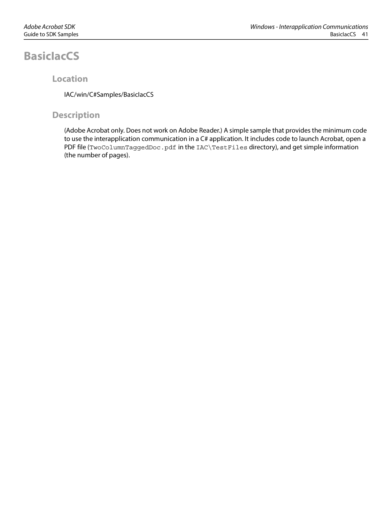## <span id="page-40-0"></span>**BasicIacCS**

### **Location**

IAC/win/C#Samples/BasicIacCS

### **Description**

(Adobe Acrobat only. Does not work on Adobe Reader.) A simple sample that provides the minimum code to use the interapplication communication in a C# application. It includes code to launch Acrobat, open a PDF file (TwoColumnTaggedDoc.pdf in the IAC\TestFiles directory), and get simple information (the number of pages).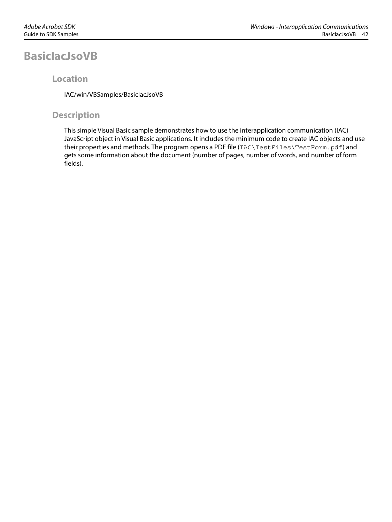## <span id="page-41-0"></span>**BasicIacJsoVB**

### **Location**

IAC/win/VBSamples/BasicIacJsoVB

### **Description**

This simple Visual Basic sample demonstrates how to use the interapplication communication (IAC) JavaScript object in Visual Basic applications. It includes the minimum code to create IAC objects and use their properties and methods. The program opens a PDF file (IAC\TestFiles\TestForm.pdf) and gets some information about the document (number of pages, number of words, and number of form fields).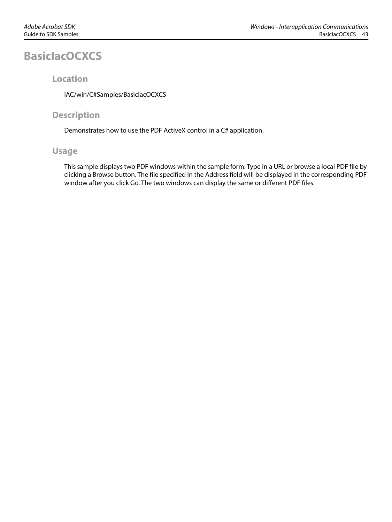## <span id="page-42-0"></span>**BasicIacOCXCS**

### **Location**

IAC/win/C#Samples/BasicIacOCXCS

### **Description**

Demonstrates how to use the PDF ActiveX control in a C# application.

### **Usage**

This sample displays two PDF windows within the sample form. Type in a URL or browse a local PDF file by clicking a Browse button. The file specified in the Address field will be displayed in the corresponding PDF window after you click Go. The two windows can display the same or different PDF files.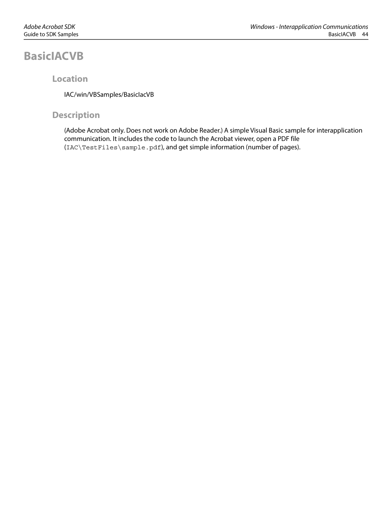## <span id="page-43-0"></span>**BasicIACVB**

### **Location**

IAC/win/VBSamples/BasicIacVB

### **Description**

(Adobe Acrobat only. Does not work on Adobe Reader.) A simple Visual Basic sample for interapplication communication. It includes the code to launch the Acrobat viewer, open a PDF file (IAC\TestFiles\sample.pdf), and get simple information (number of pages).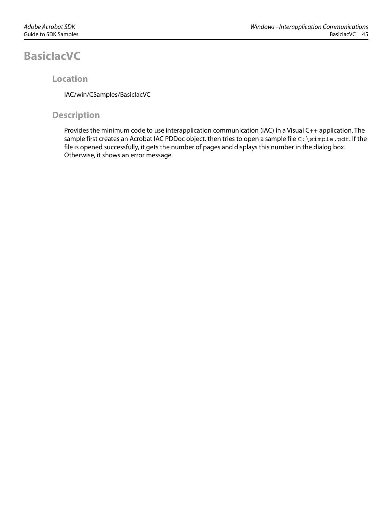## <span id="page-44-0"></span>**BasicIacVC**

### **Location**

IAC/win/CSamples/BasicIacVC

### **Description**

Provides the minimum code to use interapplication communication (IAC) in a Visual C++ application. The sample first creates an Acrobat IAC PDDoc object, then tries to open a sample file C: \simple.pdf. If the file is opened successfully, it gets the number of pages and displays this number in the dialog box. Otherwise, it shows an error message.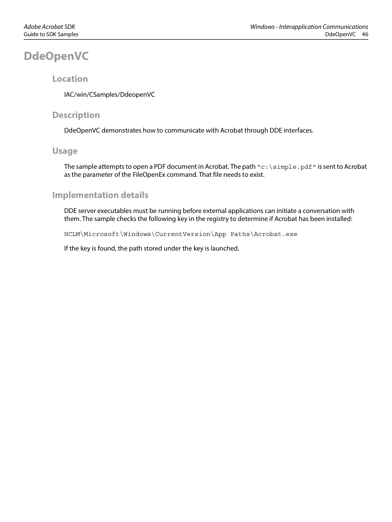## <span id="page-45-0"></span>**DdeOpenVC**

### **Location**

IAC/win/CSamples/DdeopenVC

### **Description**

DdeOpenVC demonstrates how to communicate with Acrobat through DDE interfaces.

### **Usage**

The sample attempts to open a PDF document in Acrobat. The path  $\forall c:\simeq\pi$  is pdf" is sent to Acrobat as the parameter of the FileOpenEx command. That file needs to exist.

### **Implementation details**

DDE server executables must be running before external applications can initiate a conversation with them. The sample checks the following key in the registry to determine if Acrobat has been installed:

HCLM\Microsoft\Windows\CurrentVersion\App Paths\Acrobat.exe

If the key is found, the path stored under the key is launched.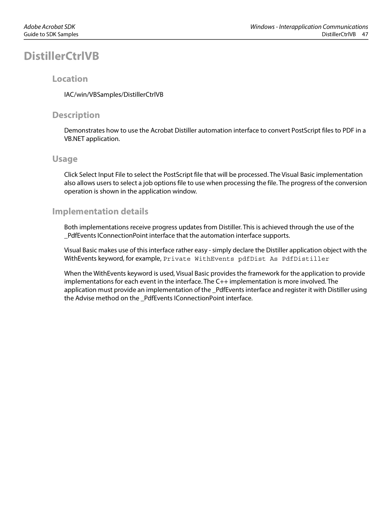## <span id="page-46-0"></span>**DistillerCtrlVB**

### **Location**

IAC/win/VBSamples/DistillerCtrlVB

### **Description**

Demonstrates how to use the Acrobat Distiller automation interface to convert PostScript files to PDF in a VB.NET application.

### **Usage**

Click Select Input File to select the PostScript file that will be processed. The Visual Basic implementation also allows users to select a job options file to use when processing the file. The progress of the conversion operation is shown in the application window.

### **Implementation details**

Both implementations receive progress updates from Distiller. This is achieved through the use of the \_PdfEvents IConnectionPoint interface that the automation interface supports.

Visual Basic makes use of this interface rather easy - simply declare the Distiller application object with the WithEvents keyword, for example, Private WithEvents pdfDist As PdfDistiller

When the WithEvents keyword is used, Visual Basic provides the framework for the application to provide implementations for each event in the interface. The C++ implementation is more involved. The application must provide an implementation of the \_PdfEvents interface and register it with Distiller using the Advise method on the \_PdfEvents IConnectionPoint interface.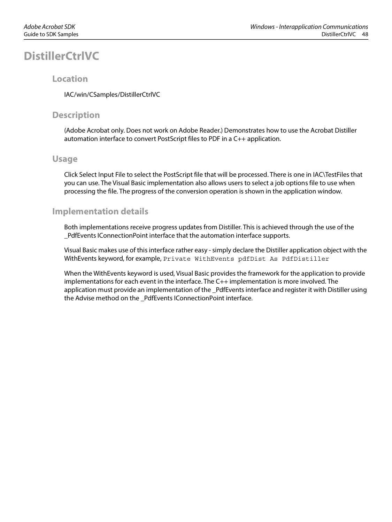## <span id="page-47-0"></span>**DistillerCtrlVC**

### **Location**

IAC/win/CSamples/DistillerCtrlVC

### **Description**

(Adobe Acrobat only. Does not work on Adobe Reader.) Demonstrates how to use the Acrobat Distiller automation interface to convert PostScript files to PDF in a C++ application.

### **Usage**

Click Select Input File to select the PostScript file that will be processed. There is one in IAC\TestFiles that you can use. The Visual Basic implementation also allows users to select a job options file to use when processing the file. The progress of the conversion operation is shown in the application window.

### **Implementation details**

Both implementations receive progress updates from Distiller. This is achieved through the use of the \_PdfEvents IConnectionPoint interface that the automation interface supports.

Visual Basic makes use of this interface rather easy - simply declare the Distiller application object with the WithEvents keyword, for example, Private WithEvents pdfDist As PdfDistiller

When the WithEvents keyword is used, Visual Basic provides the framework for the application to provide implementations for each event in the interface. The C++ implementation is more involved. The application must provide an implementation of the \_PdfEvents interface and register it with Distiller using the Advise method on the \_PdfEvents IConnectionPoint interface.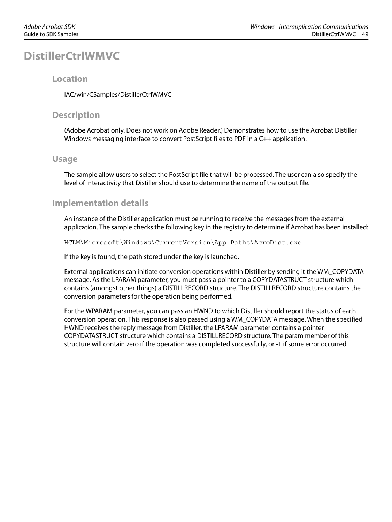## <span id="page-48-0"></span>**DistillerCtrlWMVC**

### **Location**

IAC/win/CSamples/DistillerCtrlWMVC

### **Description**

(Adobe Acrobat only. Does not work on Adobe Reader.) Demonstrates how to use the Acrobat Distiller Windows messaging interface to convert PostScript files to PDF in a C++ application.

### **Usage**

The sample allow users to select the PostScript file that will be processed. The user can also specify the level of interactivity that Distiller should use to determine the name of the output file.

### **Implementation details**

An instance of the Distiller application must be running to receive the messages from the external application. The sample checks the following key in the registry to determine if Acrobat has been installed:

HCLM\Microsoft\Windows\CurrentVersion\App Paths\AcroDist.exe

If the key is found, the path stored under the key is launched.

External applications can initiate conversion operations within Distiller by sending it the WM\_COPYDATA message. As the LPARAM parameter, you must pass a pointer to a COPYDATASTRUCT structure which contains (amongst other things) a DISTILLRECORD structure. The DISTILLRECORD structure contains the conversion parameters for the operation being performed.

For the WPARAM parameter, you can pass an HWND to which Distiller should report the status of each conversion operation. This response is also passed using a WM\_COPYDATA message. When the specified HWND receives the reply message from Distiller, the LPARAM parameter contains a pointer COPYDATASTRUCT structure which contains a DISTILLRECORD structure. The param member of this structure will contain zero if the operation was completed successfully, or -1 if some error occurred.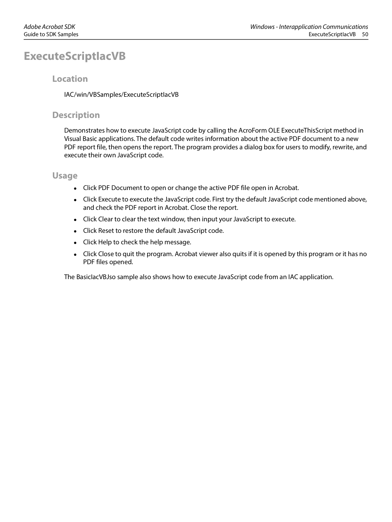## <span id="page-49-0"></span>**ExecuteScriptIacVB**

### **Location**

IAC/win/VBSamples/ExecuteScriptIacVB

### **Description**

Demonstrates how to execute JavaScript code by calling the AcroForm OLE ExecuteThisScript method in Visual Basic applications. The default code writes information about the active PDF document to a new PDF report file, then opens the report. The program provides a dialog box for users to modify, rewrite, and execute their own JavaScript code.

### **Usage**

- Click PDF Document to open or change the active PDF file open in Acrobat.
- Click Execute to execute the JavaScript code. First try the default JavaScript code mentioned above, and check the PDF report in Acrobat. Close the report.
- Click Clear to clear the text window, then input your JavaScript to execute.
- Click Reset to restore the default JavaScript code.
- Click Help to check the help message.
- Click Close to quit the program. Acrobat viewer also quits if it is opened by this program or it has no PDF files opened.

The BasicIacVBJso sample also shows how to execute JavaScript code from an IAC application.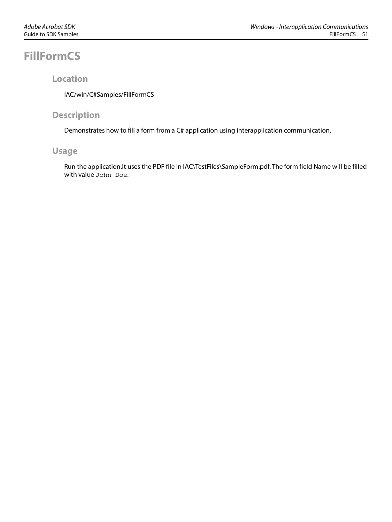## <span id="page-50-0"></span>**FillFormCS**

### **Location**

IAC/win/C#Samples/FillFormCS

### **Description**

Demonstrates how to fill a form from a C# application using interapplication communication.

### **Usage**

Run the application.It uses the PDF file in IAC\TestFiles\SampleForm.pdf. The form field Name will be filled with value John Doe.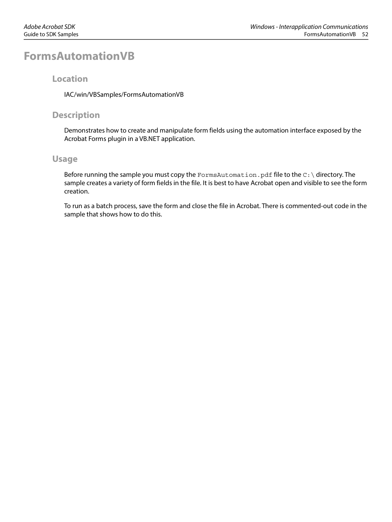## <span id="page-51-0"></span>**FormsAutomationVB**

### **Location**

IAC/win/VBSamples/FormsAutomationVB

### **Description**

Demonstrates how to create and manipulate form fields using the automation interface exposed by the Acrobat Forms plugin in a VB.NET application.

### **Usage**

Before running the sample you must copy the FormsAutomation.pdf file to the  $C:\$  directory. The sample creates a variety of form fields in the file. It is best to have Acrobat open and visible to see the form creation.

To run as a batch process, save the form and close the file in Acrobat. There is commented-out code in the sample that shows how to do this.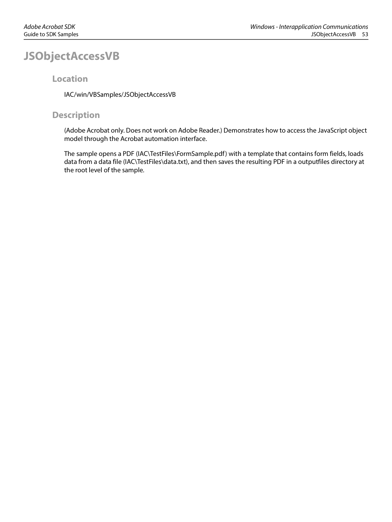## <span id="page-52-0"></span>**JSObjectAccessVB**

### **Location**

IAC/win/VBSamples/JSObjectAccessVB

### **Description**

(Adobe Acrobat only. Does not work on Adobe Reader.) Demonstrates how to access the JavaScript object model through the Acrobat automation interface.

The sample opens a PDF (IAC\TestFiles\FormSample.pdf) with a template that contains form fields, loads data from a data file (IAC\TestFiles\data.txt), and then saves the resulting PDF in a outputfiles directory at the root level of the sample.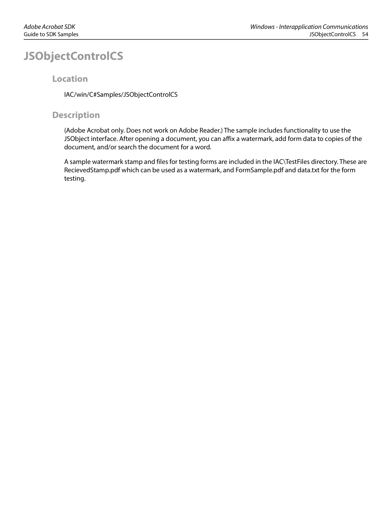## <span id="page-53-0"></span>**JSObjectControlCS**

### **Location**

IAC/win/C#Samples/JSObjectControlCS

### **Description**

(Adobe Acrobat only. Does not work on Adobe Reader.) The sample includes functionality to use the JSObject interface. After opening a document, you can affix a watermark, add form data to copies of the document, and/or search the document for a word.

A sample watermark stamp and files for testing forms are included in the IAC\TestFiles directory. These are RecievedStamp.pdf which can be used as a watermark, and FormSample.pdf and data.txt for the form testing.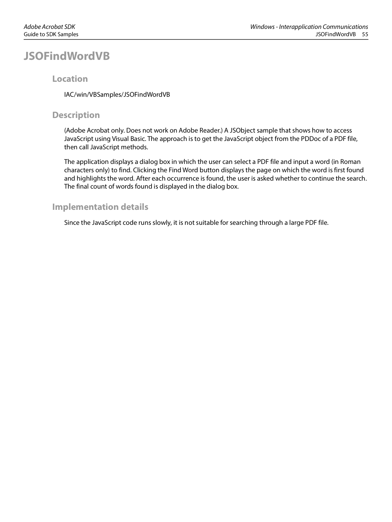## <span id="page-54-0"></span>**JSOFindWordVB**

### **Location**

IAC/win/VBSamples/JSOFindWordVB

### **Description**

(Adobe Acrobat only. Does not work on Adobe Reader.) A JSObject sample that shows how to access JavaScript using Visual Basic. The approach is to get the JavaScript object from the PDDoc of a PDF file, then call JavaScript methods.

The application displays a dialog box in which the user can select a PDF file and input a word (in Roman characters only) to find. Clicking the Find Word button displays the page on which the word is first found and highlights the word. After each occurrence is found, the user is asked whether to continue the search. The final count of words found is displayed in the dialog box.

### **Implementation details**

Since the JavaScript code runs slowly, it is not suitable for searching through a large PDF file.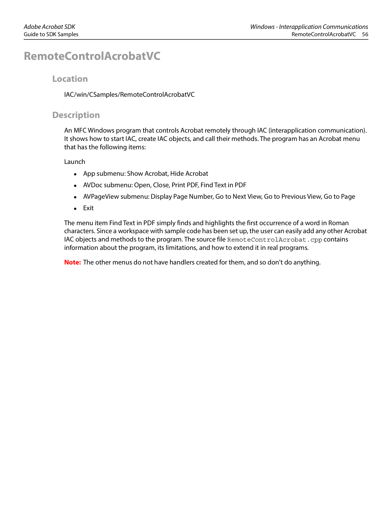## <span id="page-55-0"></span>**RemoteControlAcrobatVC**

### **Location**

IAC/win/CSamples/RemoteControlAcrobatVC

### **Description**

An MFC Windows program that controls Acrobat remotely through IAC (interapplication communication). It shows how to start IAC, create IAC objects, and call their methods. The program has an Acrobat menu that has the following items:

#### Launch

- App submenu: Show Acrobat, Hide Acrobat
- AVDoc submenu: Open, Close, Print PDF, Find Text in PDF
- AVPageView submenu: Display Page Number, Go to Next View, Go to Previous View, Go to Page
- Exit

The menu item Find Text in PDF simply finds and highlights the first occurrence of a word in Roman characters. Since a workspace with sample code has been set up, the user can easily add any other Acrobat IAC objects and methods to the program. The source file RemoteControlAcrobat.cpp contains information about the program, its limitations, and how to extend it in real programs.

**Note:** The other menus do not have handlers created for them, and so don't do anything.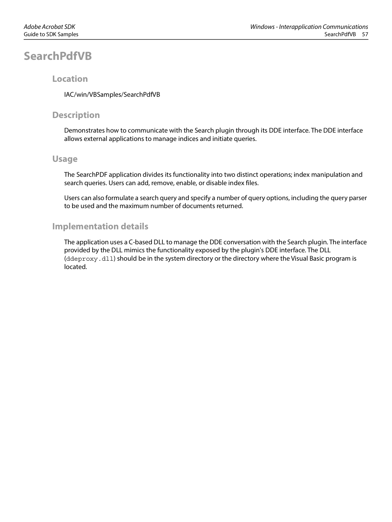## <span id="page-56-0"></span>**SearchPdfVB**

### **Location**

IAC/win/VBSamples/SearchPdfVB

### **Description**

Demonstrates how to communicate with the Search plugin through its DDE interface. The DDE interface allows external applications to manage indices and initiate queries.

### **Usage**

The SearchPDF application divides its functionality into two distinct operations; index manipulation and search queries. Users can add, remove, enable, or disable index files.

Users can also formulate a search query and specify a number of query options, including the query parser to be used and the maximum number of documents returned.

### **Implementation details**

The application uses a C-based DLL to manage the DDE conversation with the Search plugin. The interface provided by the DLL mimics the functionality exposed by the plugin's DDE interface. The DLL (ddeproxy.dll) should be in the system directory or the directory where the Visual Basic program is located.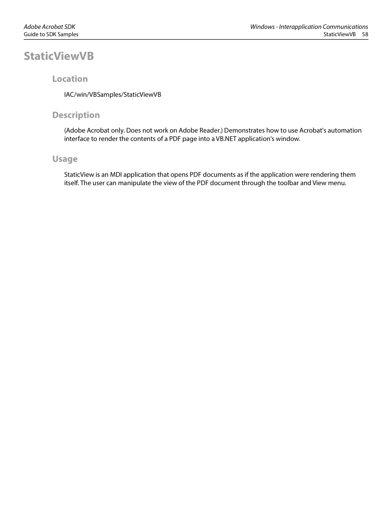## <span id="page-57-0"></span>**StaticViewVB**

### **Location**

IAC/win/VBSamples/StaticViewVB

### **Description**

(Adobe Acrobat only. Does not work on Adobe Reader.) Demonstrates how to use Acrobat's automation interface to render the contents of a PDF page into a VB.NET application's window.

### **Usage**

StaticView is an MDI application that opens PDF documents as if the application were rendering them itself. The user can manipulate the view of the PDF document through the toolbar and View menu.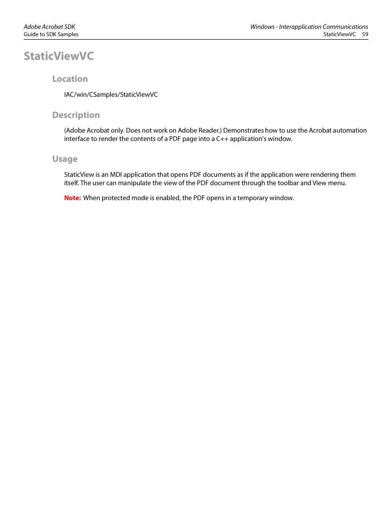## <span id="page-58-0"></span>**StaticViewVC**

### **Location**

IAC/win/CSamples/StaticViewVC

### **Description**

(Adobe Acrobat only. Does not work on Adobe Reader.) Demonstrates how to use the Acrobat automation interface to render the contents of a PDF page into a C++ application's window.

### **Usage**

StaticView is an MDI application that opens PDF documents as if the application were rendering them itself. The user can manipulate the view of the PDF document through the toolbar and View menu.

**Note:** When protected mode is enabled, the PDF opens in a temporary window.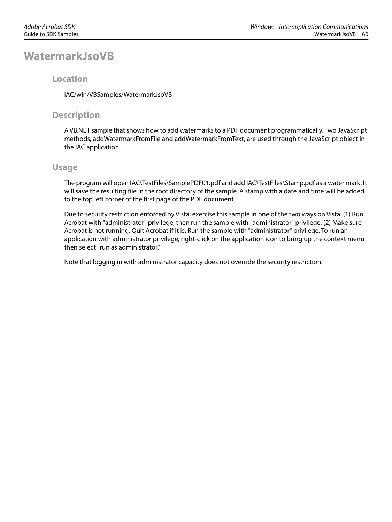### <span id="page-59-0"></span>**WatermarkJsoVB**

### **Location**

IAC/win/VBSamples/WatermarkJsoVB

### **Description**

A VB.NET sample that shows how to add watermarks to a PDF document programmatically. Two JavaScript methods, addWatermarkFromFile and addWatermarkFromText, are used through the JavaScript object in the IAC application.

### **Usage**

The program will open IAC\TestFiles\SamplePDF01.pdf and add IAC\TestFiles\Stamp.pdf as a water mark. It will save the resulting file in the root directory of the sample. A stamp with a date and time will be added to the top left corner of the first page of the PDF document.

Due to security restriction enforced by Vista, exercise this sample in one of the two ways on Vista: (1) Run Acrobat with "administrator" privilege, then run the sample with "administrator" privilege. (2) Make sure Acrobat is not running. Quit Acrobat if it is. Run the sample with "administrator" privilege. To run an application with administrator privilege, right-click on the application icon to bring up the context menu then select "run as administrator."

Note that logging in with administrator capacity does not override the security restriction.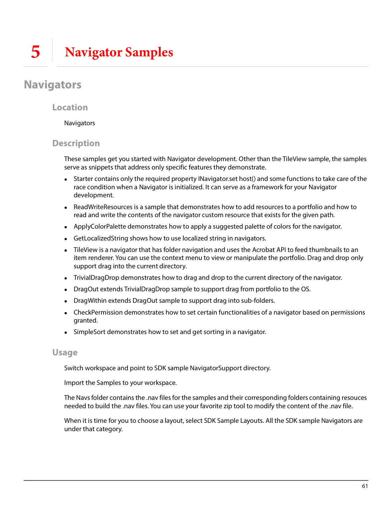## <span id="page-60-1"></span><span id="page-60-0"></span>**Navigators**

### **Location**

### **Navigators**

### **Description**

These samples get you started with Navigator development. Other than the TileView sample, the samples serve as snippets that address only specific features they demonstrate.

- Starter contains only the required property INavigator.set host() and some functions to take care of the race condition when a Navigator is initialized. It can serve as a framework for your Navigator development.
- ReadWriteResources is a sample that demonstrates how to add resources to a portfolio and how to read and write the contents of the navigator custom resource that exists for the given path.
- ApplyColorPalette demonstrates how to apply a suggested palette of colors for the navigator.
- GetLocalizedString shows how to use localized string in navigators.
- TileView is a navigator that has folder navigation and uses the Acrobat API to feed thumbnails to an item renderer. You can use the context menu to view or manipulate the portfolio. Drag and drop only support drag into the current directory.
- TrivialDragDrop demonstrates how to drag and drop to the current directory of the navigator.
- DragOut extends TrivialDragDrop sample to support drag from portfolio to the OS.
- DragWithin extends DragOut sample to support drag into sub-folders.
- CheckPermission demonstrates how to set certain functionalities of a navigator based on permissions granted.
- SimpleSort demonstrates how to set and get sorting in a navigator.

### **Usage**

Switch workspace and point to SDK sample NavigatorSupport directory.

Import the Samples to your workspace.

The Navs folder contains the .nav files for the samples and their corresponding folders containing resouces needed to build the .nav files. You can use your favorite zip tool to modify the content of the .nav file.

When it is time for you to choose a layout, select SDK Sample Layouts. All the SDK sample Navigators are under that category.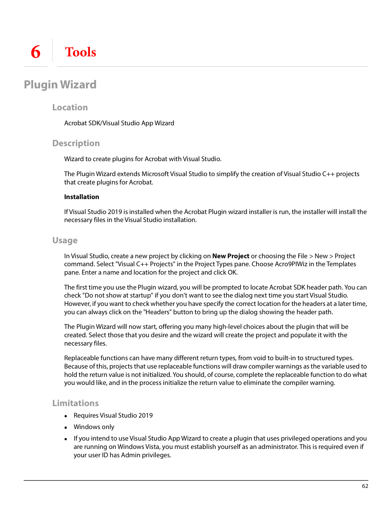## <span id="page-61-1"></span><span id="page-61-0"></span>**Plugin Wizard**

### **Location**

Acrobat SDK/Visual Studio App Wizard

### **Description**

Wizard to create plugins for Acrobat with Visual Studio.

The Plugin Wizard extends Microsoft Visual Studio to simplify the creation of Visual Studio C++ projects that create plugins for Acrobat.

#### **Installation**

If Visual Studio 2019 is installed when the Acrobat Plugin wizard installer is run, the installer will install the necessary files in the Visual Studio installation.

### **Usage**

In Visual Studio, create a new project by clicking on **New Project** or choosing the File > New > Project command. Select "Visual C++ Projects" in the Project Types pane. Choose Acro9PIWiz in the Templates pane. Enter a name and location for the project and click OK.

The first time you use the Plugin wizard, you will be prompted to locate Acrobat SDK header path. You can check "Do not show at startup" if you don't want to see the dialog next time you start Visual Studio. However, if you want to check whether you have specify the correct location for the headers at a later time, you can always click on the "Headers" button to bring up the dialog showing the header path.

The Plugin Wizard will now start, offering you many high-level choices about the plugin that will be created. Select those that you desire and the wizard will create the project and populate it with the necessary files.

Replaceable functions can have many different return types, from void to built-in to structured types. Because of this, projects that use replaceable functions will draw compiler warnings as the variable used to hold the return value is not initialized. You should, of course, complete the replaceable function to do what you would like, and in the process initialize the return value to eliminate the compiler warning.

### <span id="page-61-2"></span>**Limitations**

- Requires Visual Studio 2019
- Windows only
- If you intend to use Visual Studio App Wizard to create a plugin that uses privileged operations and you are running on Windows Vista, you must establish yourself as an administrator. This is required even if your user ID has Admin privileges.